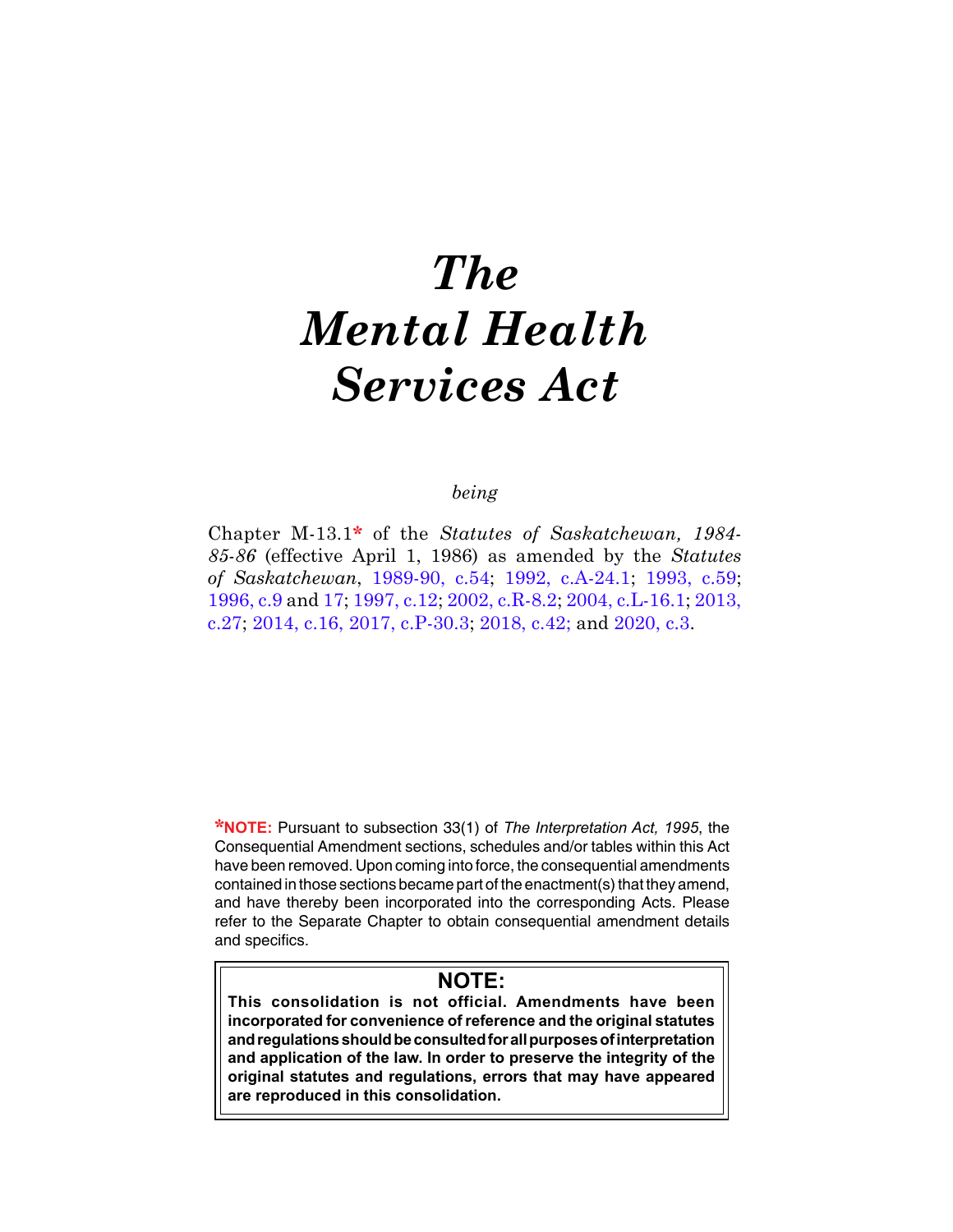# *The Mental Health Services Act*

# *being*

Chapter M-13.1**\*** of the *Statutes of Saskatchewan, 1984- 85-86* (effective April 1, 1986) as amended by the *Statutes of Saskatchewan*, [1989-90, c.54;](https://publications.saskatchewan.ca:443/api/v1/products/24596/formats/31624/download) [1992, c.A-24.1](https://publications.saskatchewan.ca:443/api/v1/products/25091/formats/32314/download); [1993, c.59](https://publications.saskatchewan.ca:443/api/v1/products/26658/formats/33884/download); [1996, c.9](https://publications.saskatchewan.ca:443/api/v1/products/25311/formats/32741/download) and [17;](https://publications.saskatchewan.ca:443/api/v1/products/25320/formats/32758/download) [1997, c.12](https://publications.saskatchewan.ca:443/api/v1/products/3661/formats/6912/download); [2002, c.R-8.2](https://publications.saskatchewan.ca:443/api/v1/products/4282/formats/8154/download); [2004, c.L-16.1;](https://publications.saskatchewan.ca:443/api/v1/products/9371/formats/14125/download) [2013,](https://publications.saskatchewan.ca:443/api/v1/products/67239/formats/74726/download)  [c.27;](https://publications.saskatchewan.ca:443/api/v1/products/67239/formats/74726/download) [2014, c.16,](https://publications.saskatchewan.ca:443/api/v1/products/70694/formats/78615/download) [2017, c.P-30.3;](https://publications.saskatchewan.ca:443/api/v1/products/85604/formats/99102/download) [2018, c.42;](https://publications.saskatchewan.ca:443/api/v1/products/90531/formats/107441/download) and [2020, c.3](https://publications.saskatchewan.ca:443/api/v1/products/105123/formats/117209/download).

**\*NOTE:** Pursuant to subsection 33(1) of *The Interpretation Act, 1995*, the Consequential Amendment sections, schedules and/or tables within this Act have been removed. Upon coming into force, the consequential amendments contained in those sections became part of the enactment(s) that they amend, and have thereby been incorporated into the corresponding Acts. Please refer to the Separate Chapter to obtain consequential amendment details and specifics.

# **NOTE:**

**This consolidation is not official. Amendments have been incorporated for convenience of reference and the original statutes and regulations should be consulted for all purposes of interpretation and application of the law. In order to preserve the integrity of the original statutes and regulations, errors that may have appeared are reproduced in this consolidation.**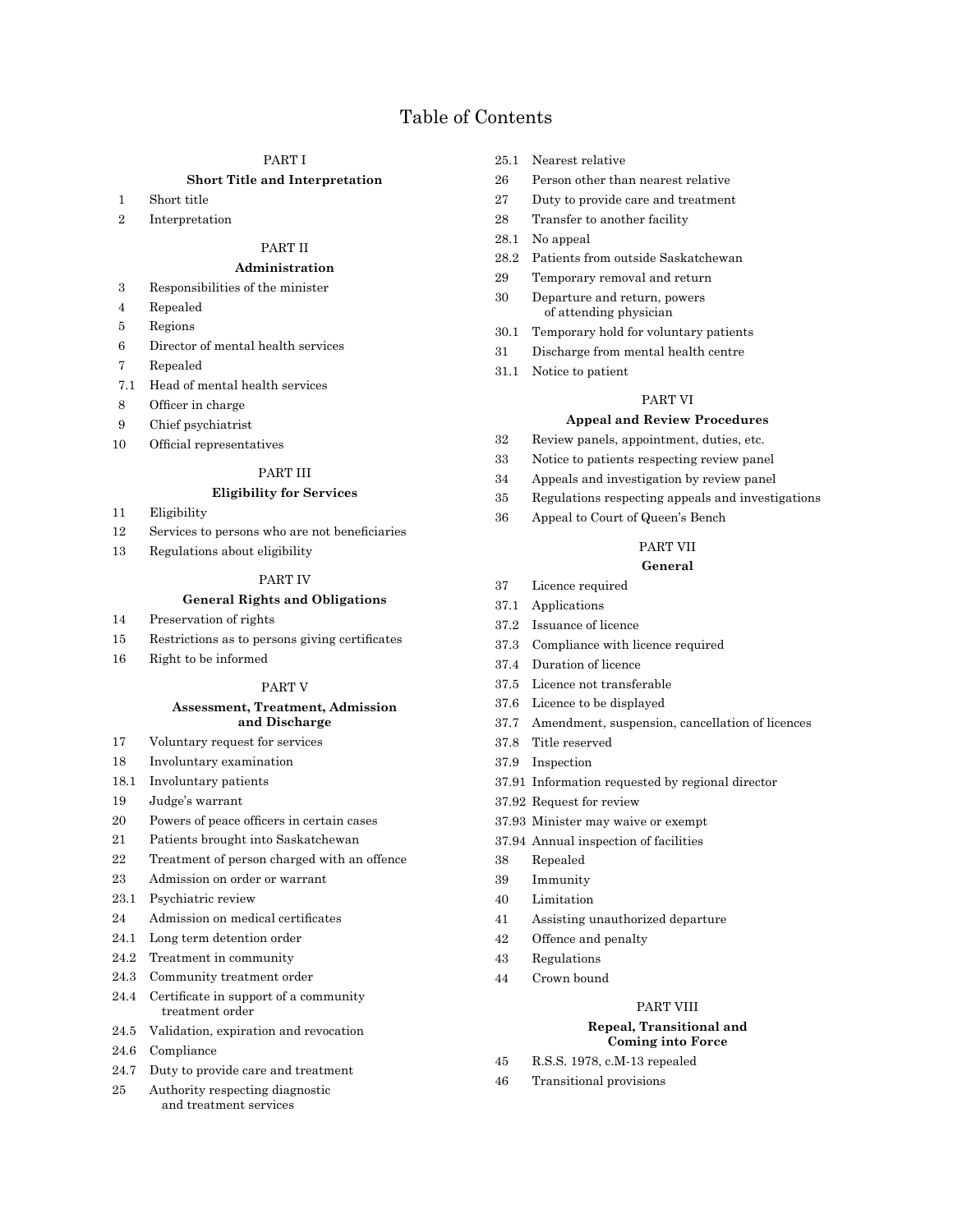# Table of Contents

# PART I

## **Short Title and Interpretation**

- 1 Short title
- 2 Interpretation

# PART II

#### **Administration**

- 3 Responsibilities of the minister
- 4 Repealed
- 5 Regions
- 6 Director of mental health services
- 7 Repealed
- 7.1 Head of mental health services
- 8 Officer in charge
- 9 Chief psychiatrist
- 10 Official representatives

#### PART III

## **Eligibility for Services**

- 11 Eligibility
- 12 Services to persons who are not beneficiaries
- 13 Regulations about eligibility

# PART IV

# **General Rights and Obligations**

- 14 Preservation of rights
- 15 Restrictions as to persons giving certificates
- 16 Right to be informed

#### PART V

#### **Assessment, Treatment, Admission and Discharge**

- 17 Voluntary request for services
- 18 Involuntary examination
- 18.1 Involuntary patients
- 19 Judge's warrant
- 20 Powers of peace officers in certain cases
- 21 Patients brought into Saskatchewan
- 22 Treatment of person charged with an offence
- 23 Admission on order or warrant
- 23.1 Psychiatric review
- 24 Admission on medical certificates
- 24.1 Long term detention order
- 24.2 Treatment in community
- 24.3 Community treatment order
- 24.4 Certificate in support of a community treatment order
- 24.5 Validation, expiration and revocation
- 24.6 Compliance
- 24.7 Duty to provide care and treatment
- 25 Authority respecting diagnostic and treatment services
- 25.1 Nearest relative
- 26 Person other than nearest relative
- 27 Duty to provide care and treatment
- 28 Transfer to another facility
- 28.1 No appeal
- 28.2 Patients from outside Saskatchewan
- 29 Temporary removal and return
- 30 Departure and return, powers of attending physician
- 30.1 Temporary hold for voluntary patients
- 31 Discharge from mental health centre
- 31.1 Notice to patient

#### PART VI

# **Appeal and Review Procedures**

- 32 Review panels, appointment, duties, etc.
- 33 Notice to patients respecting review panel
- 34 Appeals and investigation by review panel
- 35 Regulations respecting appeals and investigations
- 36 Appeal to Court of Queen's Bench

## PART VII

# **General**

- 37 Licence required
- 37.1 Applications
- 37.2 Issuance of licence
- 37.3 Compliance with licence required
- 37.4 Duration of licence
- 37.5 Licence not transferable
- 37.6 Licence to be displayed
- 37.7 Amendment, suspension, cancellation of licences
- 37.8 Title reserved
- 37.9 Inspection
- 37.91 Information requested by regional director
- 37.92 Request for review
- 37.93 Minister may waive or exempt
- 37.94 Annual inspection of facilities
- 38 Repealed
- 39 Immunity
- 40 Limitation
- 41 Assisting unauthorized departure
- 42 Offence and penalty
- 43 Regulations
- 44 Crown bound

## PART VIII

#### **Repeal, Transitional and Coming into Force**

- 45 R.S.S. 1978, c.M-13 repealed
- 46 Transitional provisions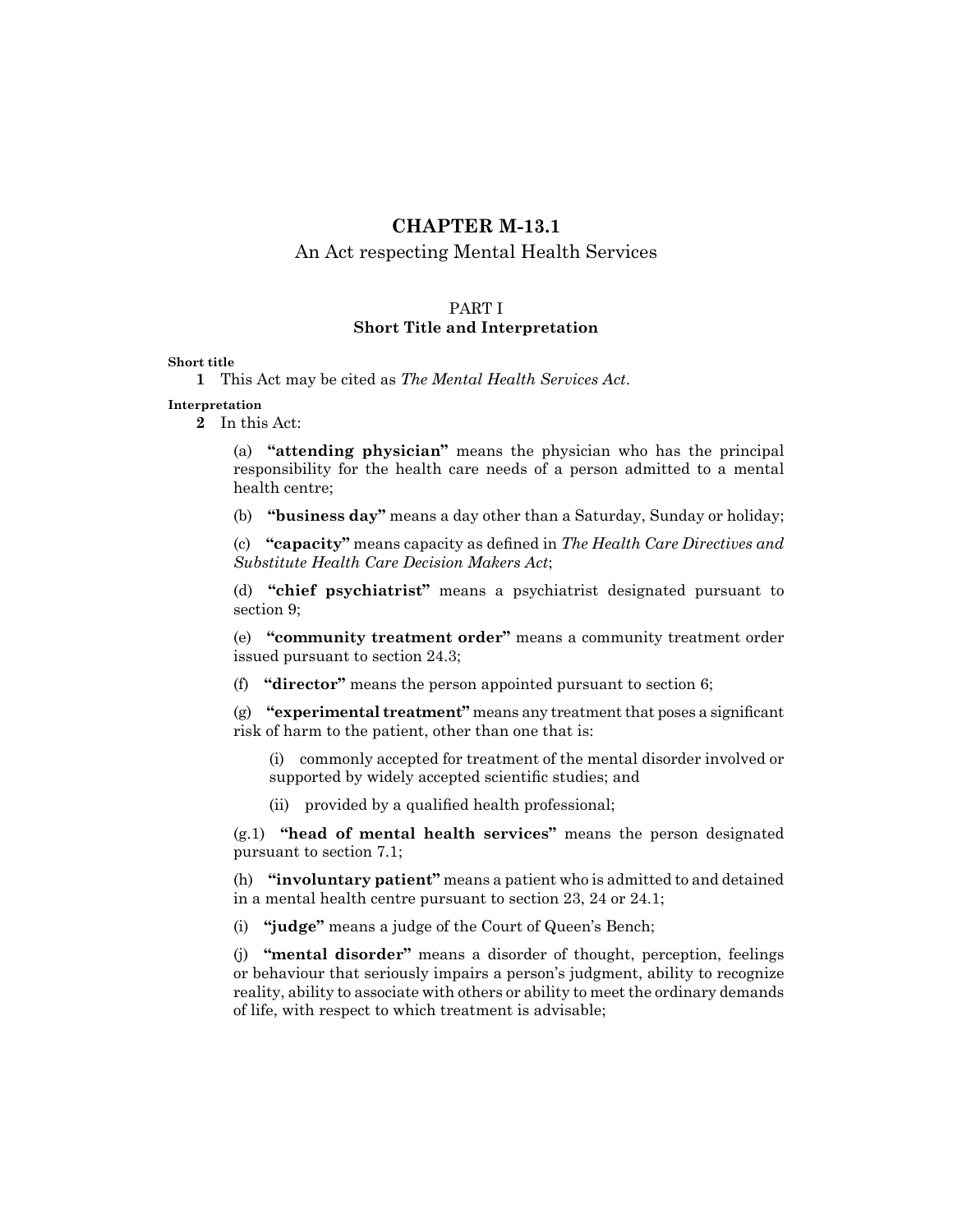# **CHAPTER M-13.1**

# An Act respecting Mental Health Services

# PART I **Short Title and Interpretation**

# **Short title**

```
1 This Act may be cited as The Mental Health Services Act.
```
**Interpretation**

**2** In this Act:

(a) **"attending physician"** means the physician who has the principal responsibility for the health care needs of a person admitted to a mental health centre;

(b) **"business day"** means a day other than a Saturday, Sunday or holiday;

(c) **"capacity"** means capacity as defined in *The Health Care Directives and Substitute Health Care Decision Makers Act*;

(d) **"chief psychiatrist"** means a psychiatrist designated pursuant to section 9;

(e) **"community treatment order"** means a community treatment order issued pursuant to section 24.3;

(f) **"director"** means the person appointed pursuant to section 6;

(g) **"experimental treatment"** means any treatmentthat poses a significant risk of harm to the patient, other than one that is:

(i) commonly accepted for treatment of the mental disorder involved or supported by widely accepted scientific studies; and

(ii) provided by a qualified health professional;

(g.1) **"head of mental health services"** means the person designated pursuant to section 7.1;

(h) **"involuntary patient"** means a patient who is admitted to and detained in a mental health centre pursuant to section 23, 24 or 24.1;

(i) **"judge"** means a judge of the Court of Queen's Bench;

(j) **"mental disorder"** means a disorder of thought, perception, feelings or behaviour that seriously impairs a person's judgment, ability to recognize reality, ability to associate with others or ability to meet the ordinary demands of life, with respect to which treatment is advisable;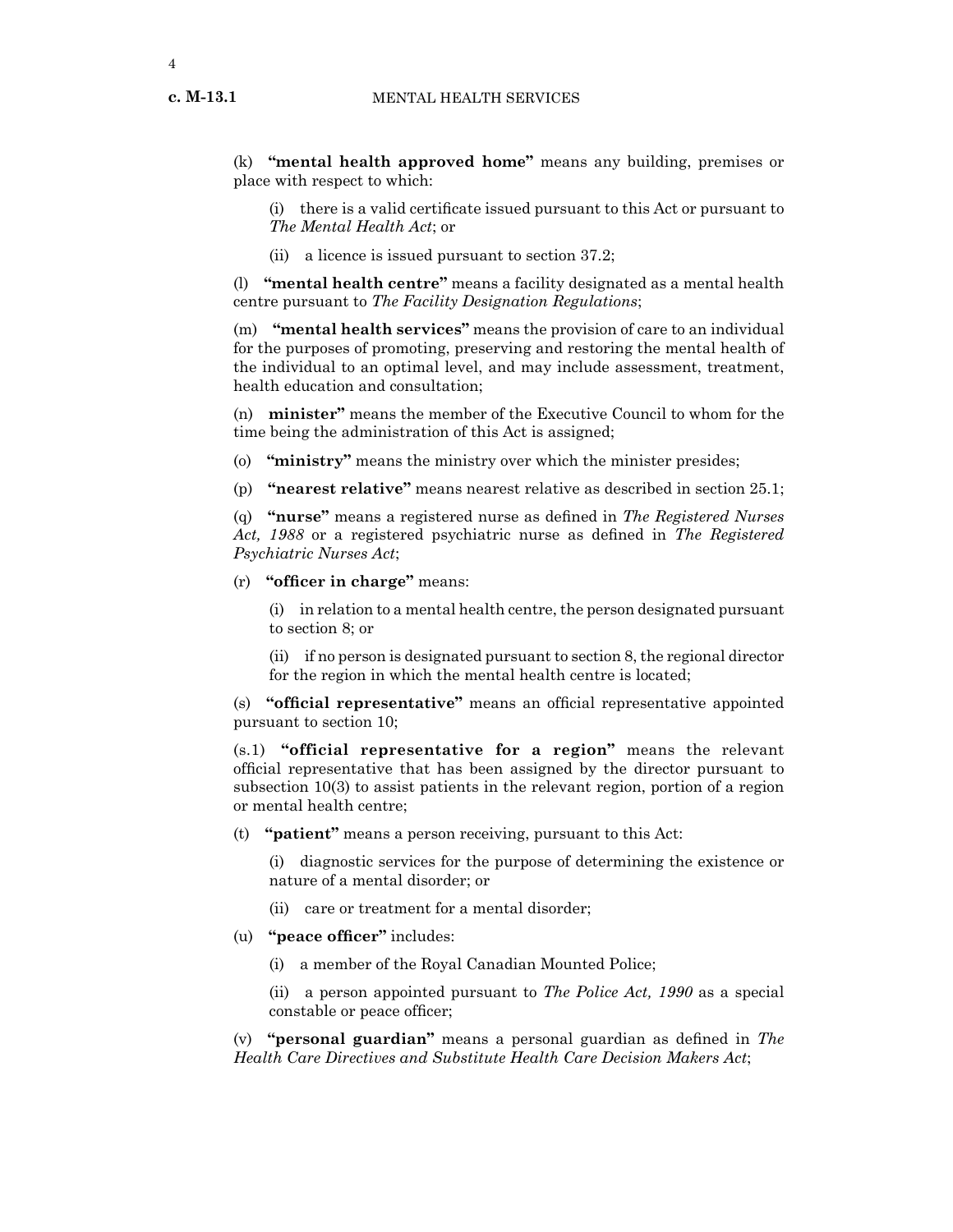**c. M-13.1**

(k) **"mental health approved home"** means any building, premises or place with respect to which:

(i) there is a valid certificate issued pursuant to this Act or pursuant to *The Mental Health Act*; or

(ii) a licence is issued pursuant to section 37.2;

(l) **"mental health centre"** means a facility designated as a mental health centre pursuant to *The Facility Designation Regulations*;

(m) **"mental health services"** means the provision of care to an individual for the purposes of promoting, preserving and restoring the mental health of the individual to an optimal level, and may include assessment, treatment, health education and consultation;

(n) **minister"** means the member of the Executive Council to whom for the time being the administration of this Act is assigned;

(o) **"ministry"** means the ministry over which the minister presides;

(p) **"nearest relative"** means nearest relative as described in section 25.1;

(q) **"nurse"** means a registered nurse as defined in *The Registered Nurses Act, 1988* or a registered psychiatric nurse as defined in *The Registered Psychiatric Nurses Act*;

(r) **"officer in charge"** means:

(i) in relation to a mental health centre, the person designated pursuant to section 8; or

(ii) if no person is designated pursuant to section 8, the regional director for the region in which the mental health centre is located;

(s) **"official representative"** means an official representative appointed pursuant to section 10;

(s.1) **"official representative for a region"** means the relevant official representative that has been assigned by the director pursuant to subsection 10(3) to assist patients in the relevant region, portion of a region or mental health centre;

(t) **"patient"** means a person receiving, pursuant to this Act:

(i) diagnostic services for the purpose of determining the existence or nature of a mental disorder; or

- (ii) care or treatment for a mental disorder;
- (u) **"peace officer"** includes:
	- (i) a member of the Royal Canadian Mounted Police;

(ii) a person appointed pursuant to *The Police Act, 1990* as a special constable or peace officer;

(v) **"personal guardian"** means a personal guardian as defined in *The Health Care Directives and Substitute Health Care Decision Makers Act*;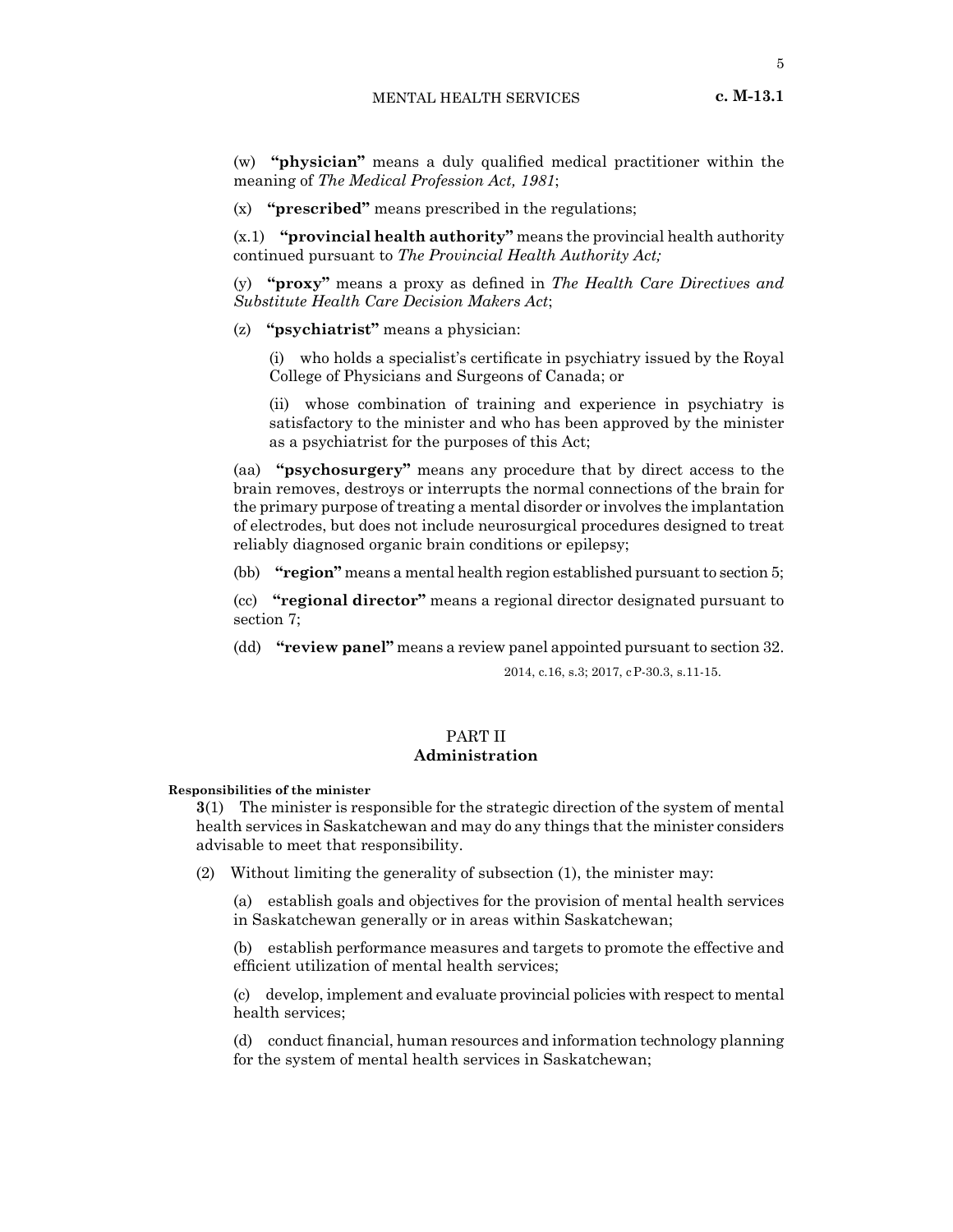(w) **"physician"** means a duly qualified medical practitioner within the meaning of *The Medical Profession Act, 1981*;

(x) **"prescribed"** means prescribed in the regulations;

(x.1) **"provincial health authority"** means the provincial health authority continued pursuant to *The Provincial Health Authority Act;*

(y) **"proxy"** means a proxy as defined in *The Health Care Directives and Substitute Health Care Decision Makers Act*;

(z) **"psychiatrist"** means a physician:

(i) who holds a specialist's certificate in psychiatry issued by the Royal College of Physicians and Surgeons of Canada; or

(ii) whose combination of training and experience in psychiatry is satisfactory to the minister and who has been approved by the minister as a psychiatrist for the purposes of this Act;

(aa) **"psychosurgery"** means any procedure that by direct access to the brain removes, destroys or interrupts the normal connections of the brain for the primary purpose of treating a mental disorder or involves the implantation of electrodes, but does not include neurosurgical procedures designed to treat reliably diagnosed organic brain conditions or epilepsy;

(bb) **"region"** means a mental health region established pursuant to section 5;

(cc) **"regional director"** means a regional director designated pursuant to section 7;

(dd) **"review panel"** means a review panel appointed pursuant to section 32.

2014, c.16, s.3; 2017, cP-30.3, s.11-15.

# PART II **Administration**

**Responsibilities of the minister**

**3**(1) The minister is responsible for the strategic direction of the system of mental health services in Saskatchewan and may do any things that the minister considers advisable to meet that responsibility.

(2) Without limiting the generality of subsection (1), the minister may:

(a) establish goals and objectives for the provision of mental health services in Saskatchewan generally or in areas within Saskatchewan;

(b) establish performance measures and targets to promote the effective and efficient utilization of mental health services;

(c) develop, implement and evaluate provincial policies with respect to mental health services;

(d) conduct financial, human resources and information technology planning for the system of mental health services in Saskatchewan;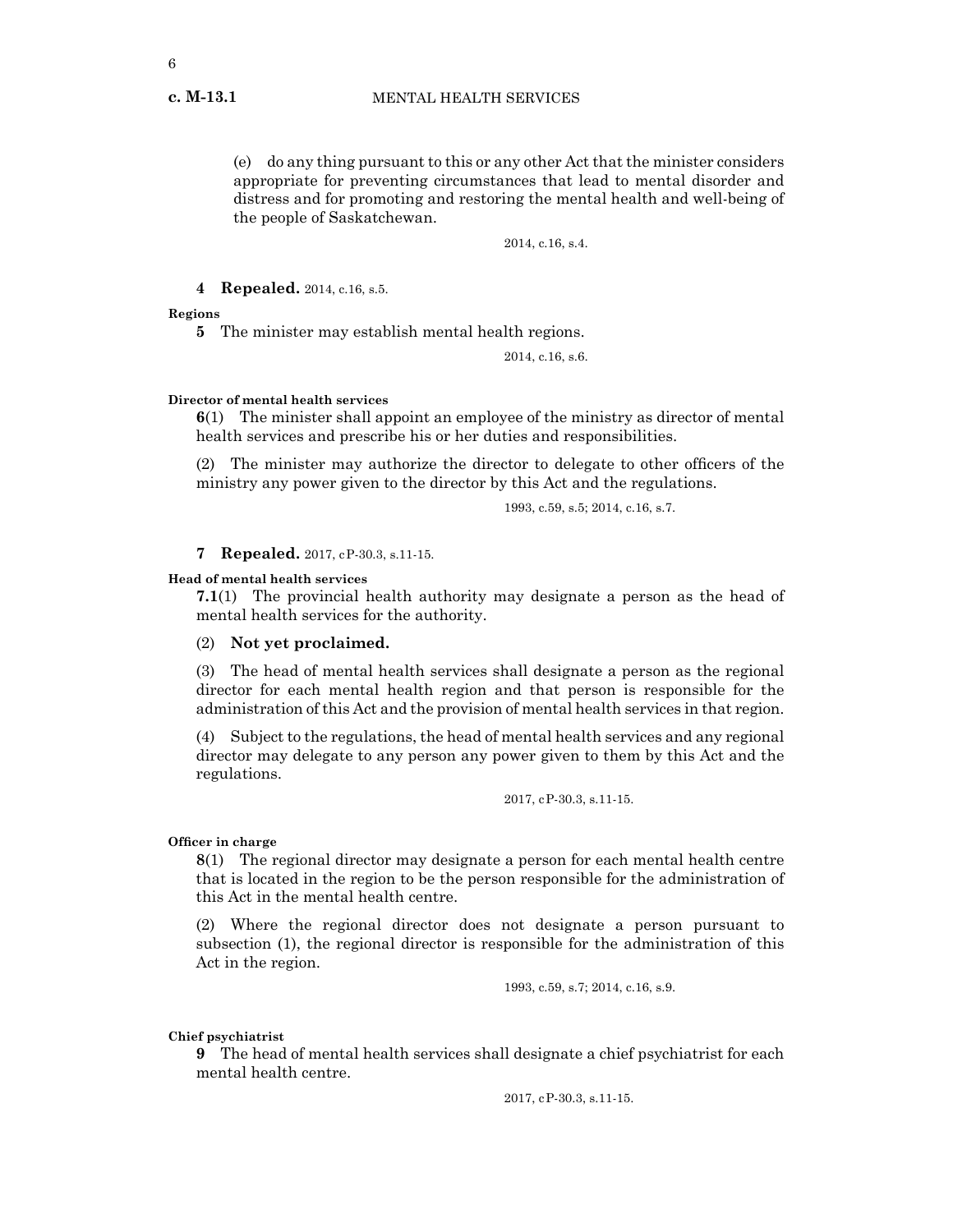(e) do any thing pursuant to this or any other Act that the minister considers appropriate for preventing circumstances that lead to mental disorder and distress and for promoting and restoring the mental health and well-being of the people of Saskatchewan.

2014, c.16, s.4.

## **4 Repealed.** 2014, c.16, s.5.

**Regions**

**5** The minister may establish mental health regions.

2014, c.16, s.6.

#### **Director of mental health services**

**6**(1) The minister shall appoint an employee of the ministry as director of mental health services and prescribe his or her duties and responsibilities.

(2) The minister may authorize the director to delegate to other officers of the ministry any power given to the director by this Act and the regulations.

1993, c.59, s.5; 2014, c.16, s.7.

**7 Repealed.** 2017, cP-30.3, s.11-15.

#### **Head of mental health services**

**7.1**(1) The provincial health authority may designate a person as the head of mental health services for the authority.

#### (2) **Not yet proclaimed.**

(3) The head of mental health services shall designate a person as the regional director for each mental health region and that person is responsible for the administration of this Act and the provision of mental health services in that region.

(4) Subject to the regulations, the head of mental health services and any regional director may delegate to any person any power given to them by this Act and the regulations.

2017, cP-30.3, s.11-15.

## **Officer in charge**

**8**(1) The regional director may designate a person for each mental health centre that is located in the region to be the person responsible for the administration of this Act in the mental health centre.

(2) Where the regional director does not designate a person pursuant to subsection (1), the regional director is responsible for the administration of this Act in the region.

1993, c.59, s.7; 2014, c.16, s.9.

#### **Chief psychiatrist**

**9** The head of mental health services shall designate a chief psychiatrist for each mental health centre.

2017, cP-30.3, s.11-15.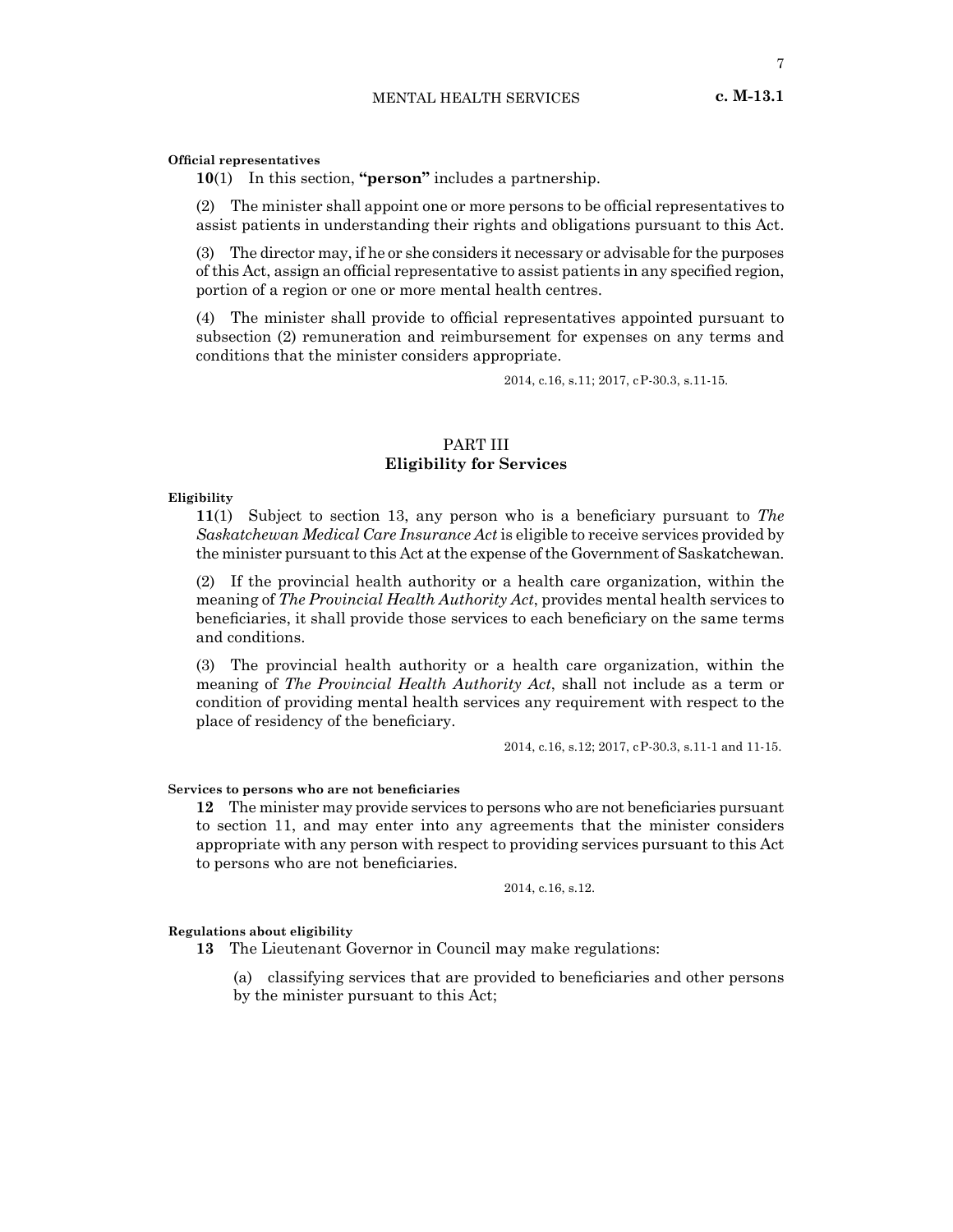#### **Official representatives**

**10**(1) In this section, **"person"** includes a partnership.

(2) The minister shall appoint one or more persons to be official representatives to assist patients in understanding their rights and obligations pursuant to this Act.

(3) The director may, if he or she considers it necessary or advisable for the purposes of this Act, assign an official representative to assist patients in any specified region, portion of a region or one or more mental health centres.

(4) The minister shall provide to official representatives appointed pursuant to subsection (2) remuneration and reimbursement for expenses on any terms and conditions that the minister considers appropriate.

2014, c.16, s.11; 2017, cP-30.3, s.11-15.

# PART III **Eligibility for Services**

## **Eligibility**

**11**(1) Subject to section 13, any person who is a beneficiary pursuant to *The Saskatchewan Medical Care Insurance Act* is eligible to receive services provided by the minister pursuant to this Act at the expense of the Government of Saskatchewan.

(2) If the provincial health authority or a health care organization, within the meaning of *The Provincial Health Authority Act*, provides mental health services to beneficiaries, it shall provide those services to each beneficiary on the same terms and conditions.

(3) The provincial health authority or a health care organization, within the meaning of *The Provincial Health Authority Act*, shall not include as a term or condition of providing mental health services any requirement with respect to the place of residency of the beneficiary.

2014, c.16, s.12; 2017, cP-30.3, s.11-1 and 11-15.

#### **Services to persons who are not beneficiaries**

**12** The minister may provide services to persons who are not beneficiaries pursuant to section 11, and may enter into any agreements that the minister considers appropriate with any person with respect to providing services pursuant to this Act to persons who are not beneficiaries.

2014, c.16, s.12.

#### **Regulations about eligibility**

**13** The Lieutenant Governor in Council may make regulations:

(a) classifying services that are provided to beneficiaries and other persons by the minister pursuant to this Act;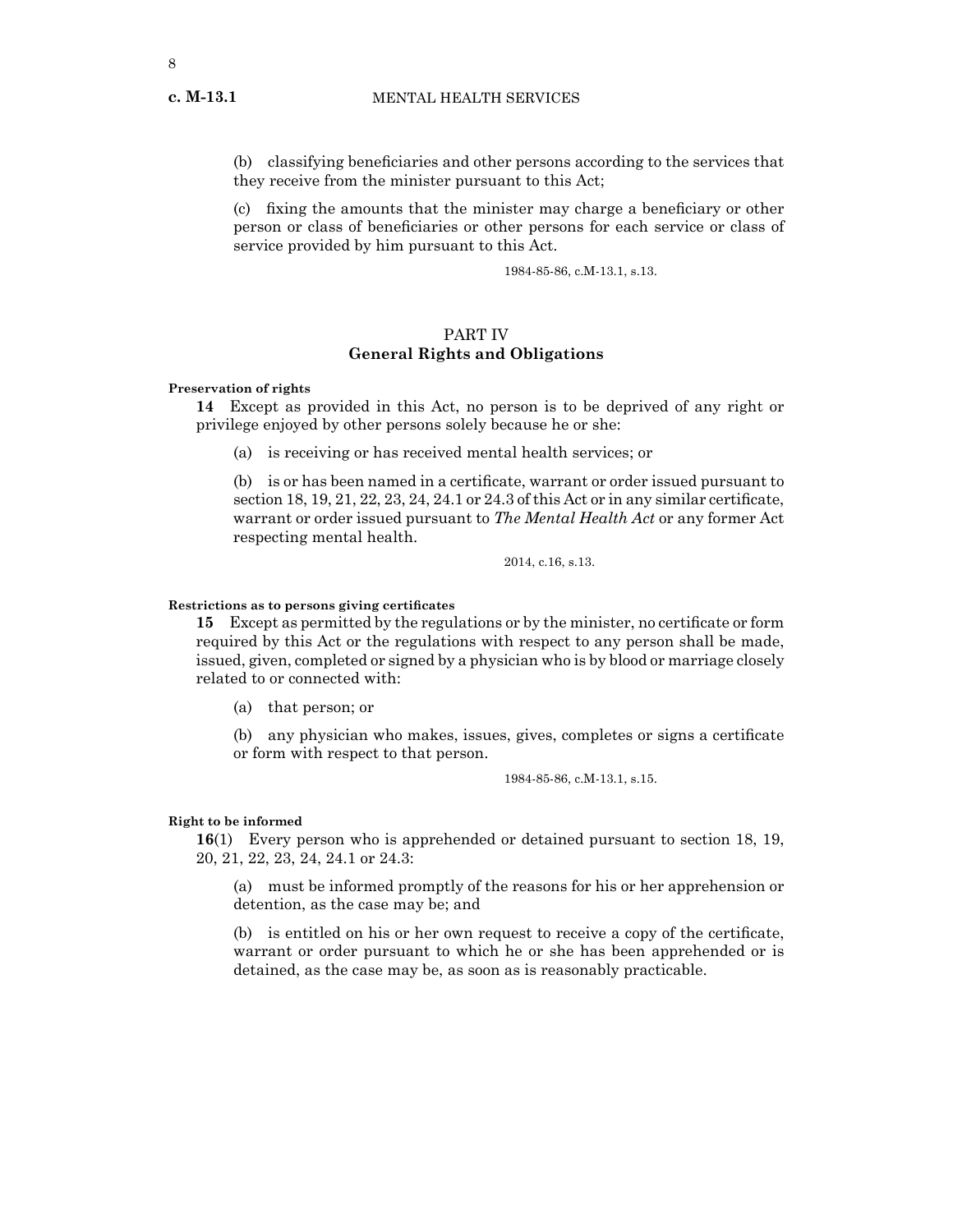(b) classifying beneficiaries and other persons according to the services that they receive from the minister pursuant to this Act;

(c) fixing the amounts that the minister may charge a beneficiary or other person or class of beneficiaries or other persons for each service or class of service provided by him pursuant to this Act.

1984-85-86, c.M-13.1, s.13.

# PART IV **General Rights and Obligations**

#### **Preservation of rights**

**14** Except as provided in this Act, no person is to be deprived of any right or privilege enjoyed by other persons solely because he or she:

(a) is receiving or has received mental health services; or

(b) is or has been named in a certificate, warrant or order issued pursuant to section 18, 19, 21, 22, 23, 24, 24.1 or 24.3 of this Act or in any similar certificate, warrant or order issued pursuant to *The Mental Health Act* or any former Act respecting mental health.

2014, c.16, s.13.

#### **Restrictions as to persons giving certificates**

**15** Except as permitted by the regulations or by the minister, no certificate or form required by this Act or the regulations with respect to any person shall be made, issued, given, completed or signed by a physician who is by blood or marriage closely related to or connected with:

(a) that person; or

(b) any physician who makes, issues, gives, completes or signs a certificate or form with respect to that person.

1984-85-86, c.M-13.1, s.15.

## **Right to be informed**

**16**(1) Every person who is apprehended or detained pursuant to section 18, 19, 20, 21, 22, 23, 24, 24.1 or 24.3:

(a) must be informed promptly of the reasons for his or her apprehension or detention, as the case may be; and

(b) is entitled on his or her own request to receive a copy of the certificate, warrant or order pursuant to which he or she has been apprehended or is detained, as the case may be, as soon as is reasonably practicable.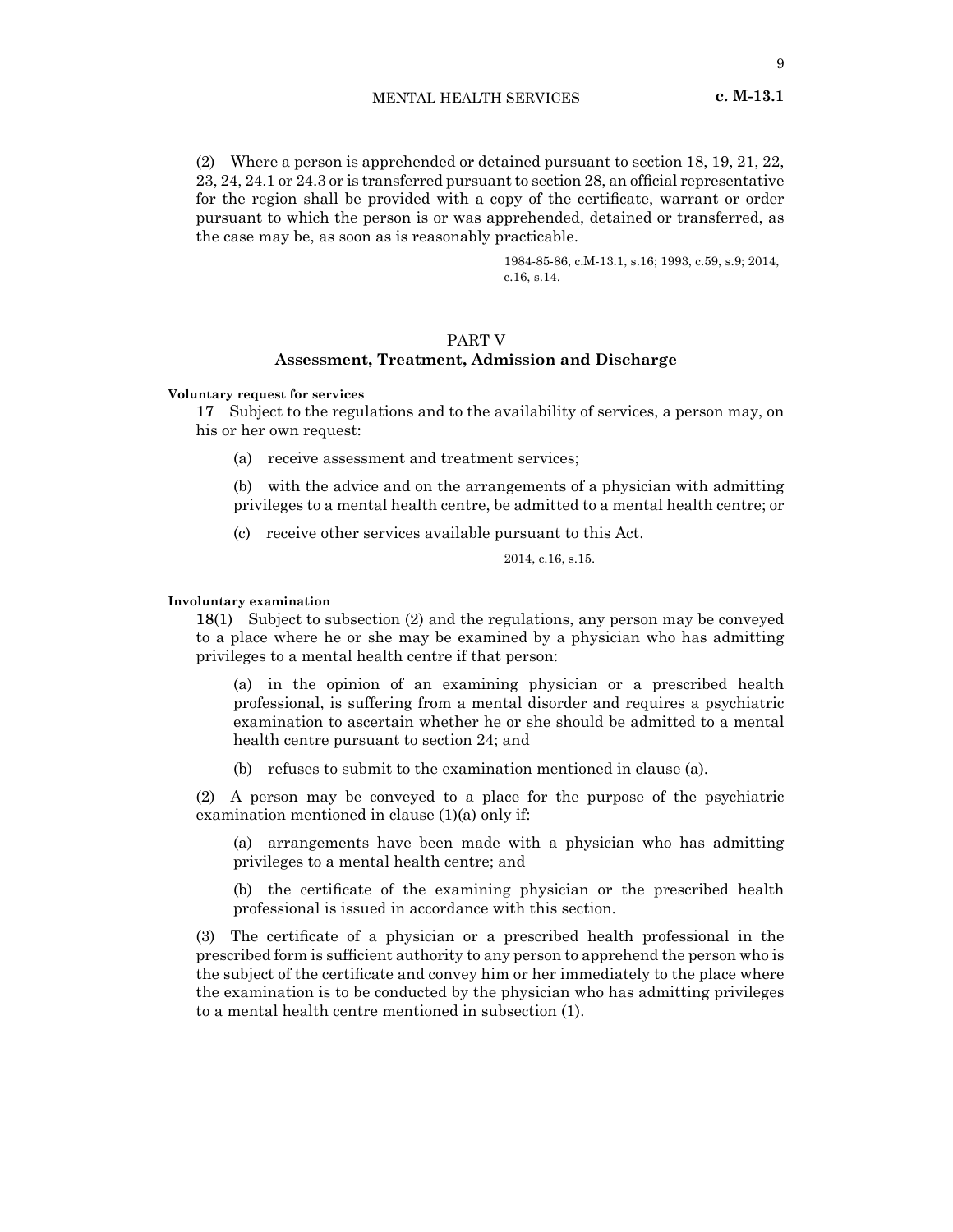(2) Where a person is apprehended or detained pursuant to section 18, 19, 21, 22, 23, 24, 24.1 or 24.3 or is transferred pursuant to section 28, an official representative for the region shall be provided with a copy of the certificate, warrant or order pursuant to which the person is or was apprehended, detained or transferred, as the case may be, as soon as is reasonably practicable.

> 1984-85-86, c.M-13.1, s.16; 1993, c.59, s.9; 2014, c.16, s.14.

# PART V

## **Assessment, Treatment, Admission and Discharge**

**Voluntary request for services**

**17** Subject to the regulations and to the availability of services, a person may, on his or her own request:

(a) receive assessment and treatment services;

(b) with the advice and on the arrangements of a physician with admitting privileges to a mental health centre, be admitted to a mental health centre; or

(c) receive other services available pursuant to this Act.

2014, c.16, s.15.

## **Involuntary examination**

**18**(1) Subject to subsection (2) and the regulations, any person may be conveyed to a place where he or she may be examined by a physician who has admitting privileges to a mental health centre if that person:

(a) in the opinion of an examining physician or a prescribed health professional, is suffering from a mental disorder and requires a psychiatric examination to ascertain whether he or she should be admitted to a mental health centre pursuant to section 24; and

(b) refuses to submit to the examination mentioned in clause (a).

(2) A person may be conveyed to a place for the purpose of the psychiatric examination mentioned in clause (1)(a) only if:

(a) arrangements have been made with a physician who has admitting privileges to a mental health centre; and

(b) the certificate of the examining physician or the prescribed health professional is issued in accordance with this section.

(3) The certificate of a physician or a prescribed health professional in the prescribed form is sufficient authority to any person to apprehend the person who is the subject of the certificate and convey him or her immediately to the place where the examination is to be conducted by the physician who has admitting privileges to a mental health centre mentioned in subsection (1).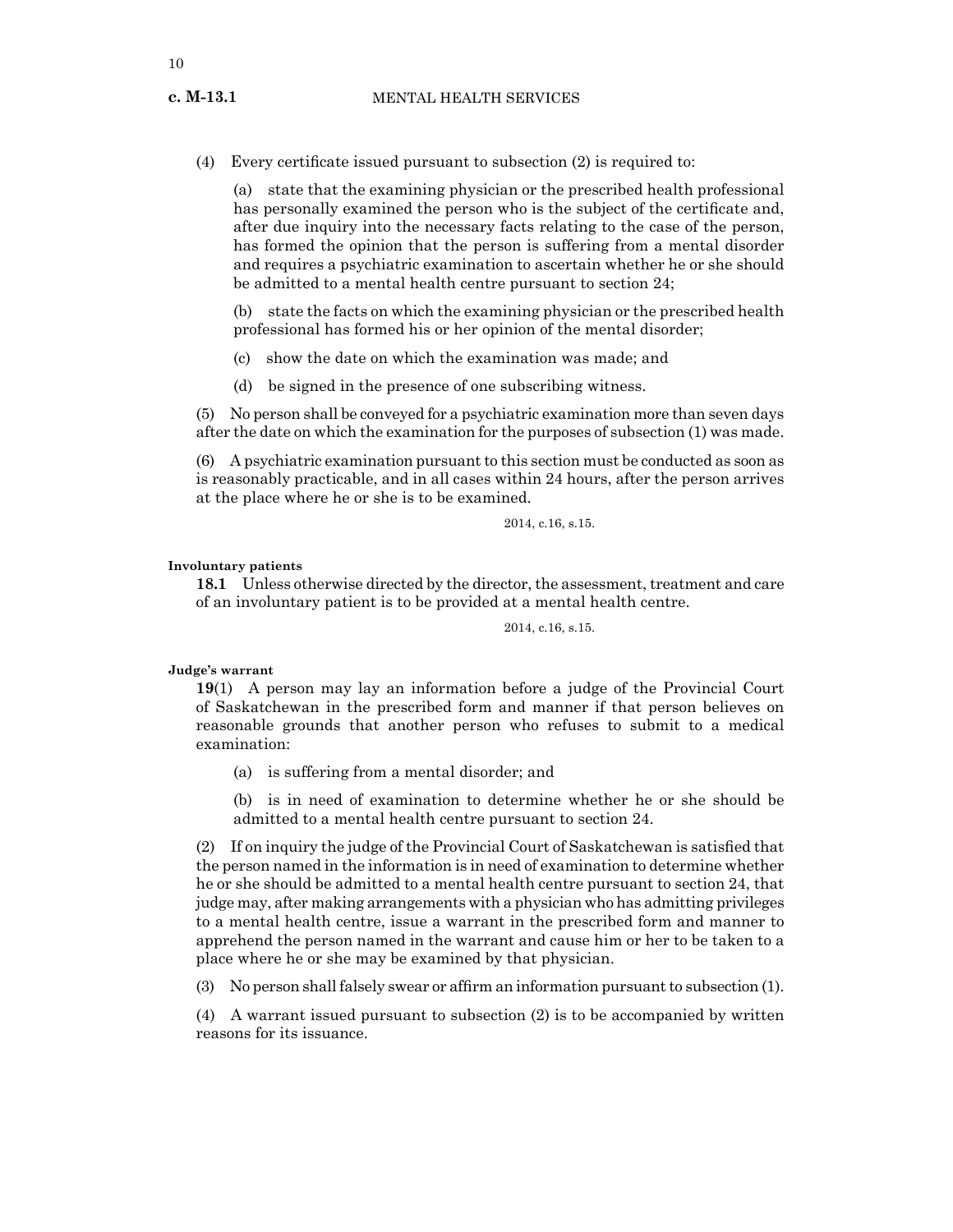(4) Every certificate issued pursuant to subsection (2) is required to:

(a) state that the examining physician or the prescribed health professional has personally examined the person who is the subject of the certificate and, after due inquiry into the necessary facts relating to the case of the person, has formed the opinion that the person is suffering from a mental disorder and requires a psychiatric examination to ascertain whether he or she should be admitted to a mental health centre pursuant to section 24;

(b) state the facts on which the examining physician or the prescribed health professional has formed his or her opinion of the mental disorder;

(c) show the date on which the examination was made; and

(d) be signed in the presence of one subscribing witness.

(5) No person shall be conveyed for a psychiatric examination more than seven days after the date on which the examination for the purposes of subsection (1) was made.

(6) A psychiatric examination pursuant to this section must be conducted as soon as is reasonably practicable, and in all cases within 24 hours, after the person arrives at the place where he or she is to be examined.

2014, c.16, s.15.

#### **Involuntary patients**

**18.1** Unless otherwise directed by the director, the assessment, treatment and care of an involuntary patient is to be provided at a mental health centre.

2014, c.16, s.15.

#### **Judge's warrant**

**19**(1) A person may lay an information before a judge of the Provincial Court of Saskatchewan in the prescribed form and manner if that person believes on reasonable grounds that another person who refuses to submit to a medical examination:

- (a) is suffering from a mental disorder; and
- (b) is in need of examination to determine whether he or she should be admitted to a mental health centre pursuant to section 24.

(2) If on inquiry the judge of the Provincial Court of Saskatchewan is satisfied that the person named in the information is in need of examination to determine whether he or she should be admitted to a mental health centre pursuant to section 24, that judge may, after making arrangements with a physician who has admitting privileges to a mental health centre, issue a warrant in the prescribed form and manner to apprehend the person named in the warrant and cause him or her to be taken to a place where he or she may be examined by that physician.

 $(3)$  No person shall falsely swear or affirm an information pursuant to subsection  $(1)$ .

(4) A warrant issued pursuant to subsection (2) is to be accompanied by written reasons for its issuance.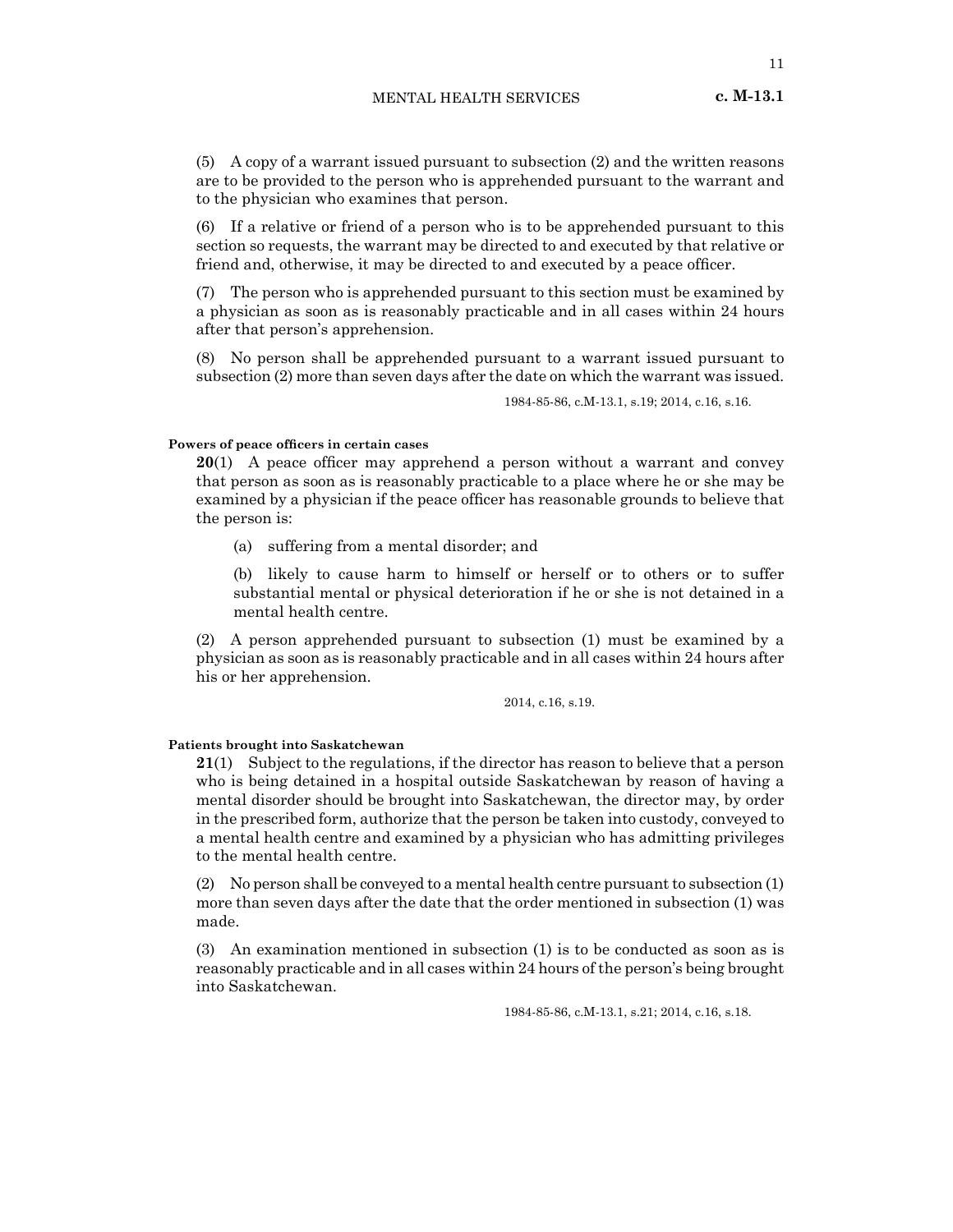(5) A copy of a warrant issued pursuant to subsection (2) and the written reasons are to be provided to the person who is apprehended pursuant to the warrant and to the physician who examines that person.

(6) If a relative or friend of a person who is to be apprehended pursuant to this section so requests, the warrant may be directed to and executed by that relative or friend and, otherwise, it may be directed to and executed by a peace officer.

(7) The person who is apprehended pursuant to this section must be examined by a physician as soon as is reasonably practicable and in all cases within 24 hours after that person's apprehension.

(8) No person shall be apprehended pursuant to a warrant issued pursuant to subsection (2) more than seven days after the date on which the warrant was issued.

1984-85-86, c.M-13.1, s.19; 2014, c.16, s.16.

#### **Powers of peace officers in certain cases**

**20**(1) A peace officer may apprehend a person without a warrant and convey that person as soon as is reasonably practicable to a place where he or she may be examined by a physician if the peace officer has reasonable grounds to believe that the person is:

(a) suffering from a mental disorder; and

(b) likely to cause harm to himself or herself or to others or to suffer substantial mental or physical deterioration if he or she is not detained in a mental health centre.

(2) A person apprehended pursuant to subsection (1) must be examined by a physician as soon as is reasonably practicable and in all cases within 24 hours after his or her apprehension.

2014, c.16, s.19.

# **Patients brought into Saskatchewan**

**21**(1) Subject to the regulations, if the director has reason to believe that a person who is being detained in a hospital outside Saskatchewan by reason of having a mental disorder should be brought into Saskatchewan, the director may, by order in the prescribed form, authorize that the person be taken into custody, conveyed to a mental health centre and examined by a physician who has admitting privileges to the mental health centre.

(2) No person shall be conveyed to a mental health centre pursuant to subsection (1) more than seven days after the date that the order mentioned in subsection (1) was made.

(3) An examination mentioned in subsection (1) is to be conducted as soon as is reasonably practicable and in all cases within 24 hours of the person's being brought into Saskatchewan.

1984-85-86, c.M-13.1, s.21; 2014, c.16, s.18.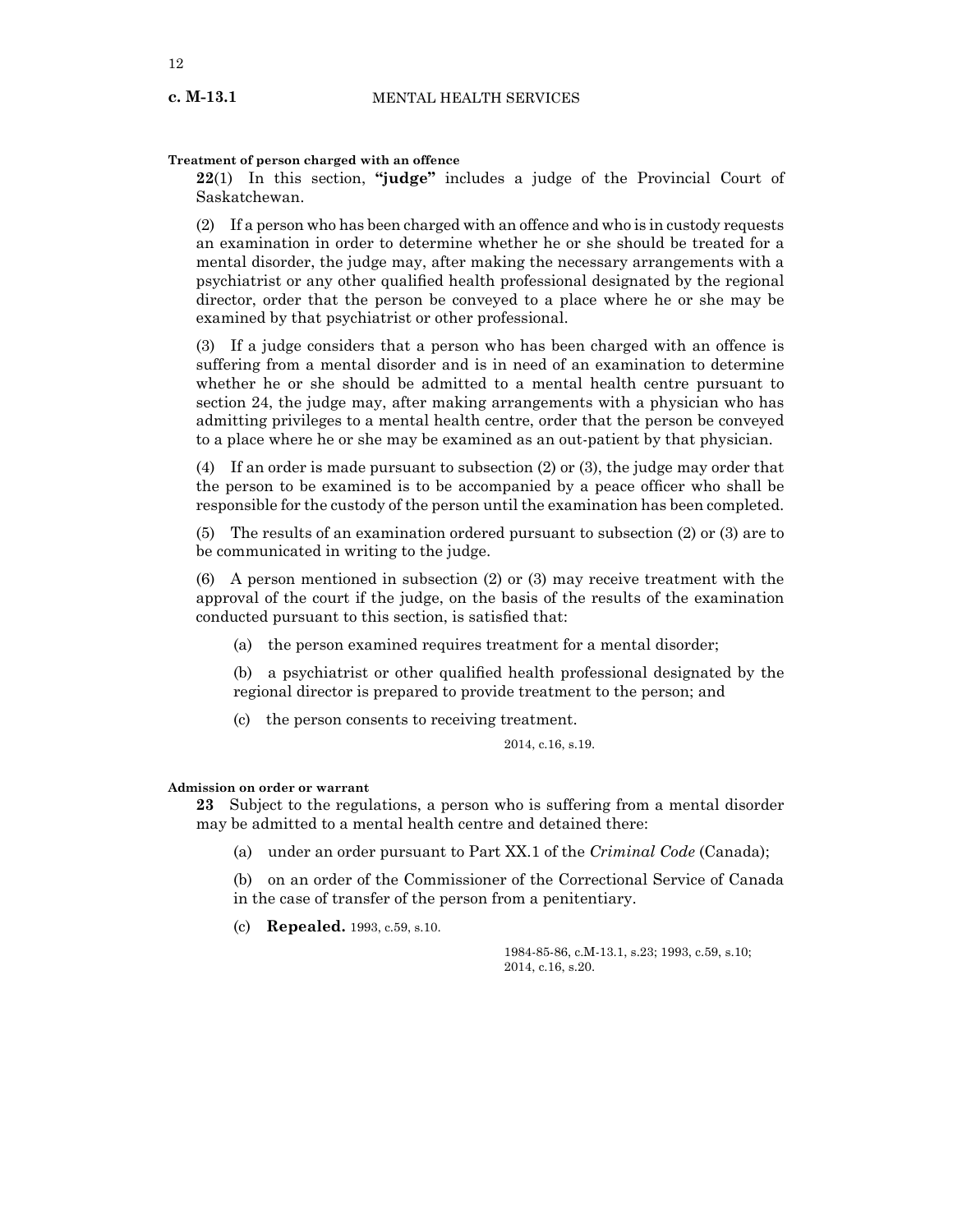# **Treatment of person charged with an offence**

**22**(1) In this section, **"judge"** includes a judge of the Provincial Court of Saskatchewan.

(2) If a person who has been charged with an offence and who is in custody requests an examination in order to determine whether he or she should be treated for a mental disorder, the judge may, after making the necessary arrangements with a psychiatrist or any other qualified health professional designated by the regional director, order that the person be conveyed to a place where he or she may be examined by that psychiatrist or other professional.

(3) If a judge considers that a person who has been charged with an offence is suffering from a mental disorder and is in need of an examination to determine whether he or she should be admitted to a mental health centre pursuant to section 24, the judge may, after making arrangements with a physician who has admitting privileges to a mental health centre, order that the person be conveyed to a place where he or she may be examined as an out-patient by that physician.

(4) If an order is made pursuant to subsection (2) or (3), the judge may order that the person to be examined is to be accompanied by a peace officer who shall be responsible for the custody of the person until the examination has been completed.

(5) The results of an examination ordered pursuant to subsection (2) or (3) are to be communicated in writing to the judge.

(6) A person mentioned in subsection (2) or (3) may receive treatment with the approval of the court if the judge, on the basis of the results of the examination conducted pursuant to this section, is satisfied that:

(a) the person examined requires treatment for a mental disorder;

(b) a psychiatrist or other qualified health professional designated by the regional director is prepared to provide treatment to the person; and

(c) the person consents to receiving treatment.

2014, c.16, s.19.

#### **Admission on order or warrant**

**23** Subject to the regulations, a person who is suffering from a mental disorder may be admitted to a mental health centre and detained there:

(a) under an order pursuant to Part XX.1 of the *Criminal Code* (Canada);

(b) on an order of the Commissioner of the Correctional Service of Canada in the case of transfer of the person from a penitentiary.

(c) **Repealed.** 1993, c.59, s.10.

1984-85-86, c.M-13.1, s.23; 1993, c.59, s.10; 2014, c.16, s.20.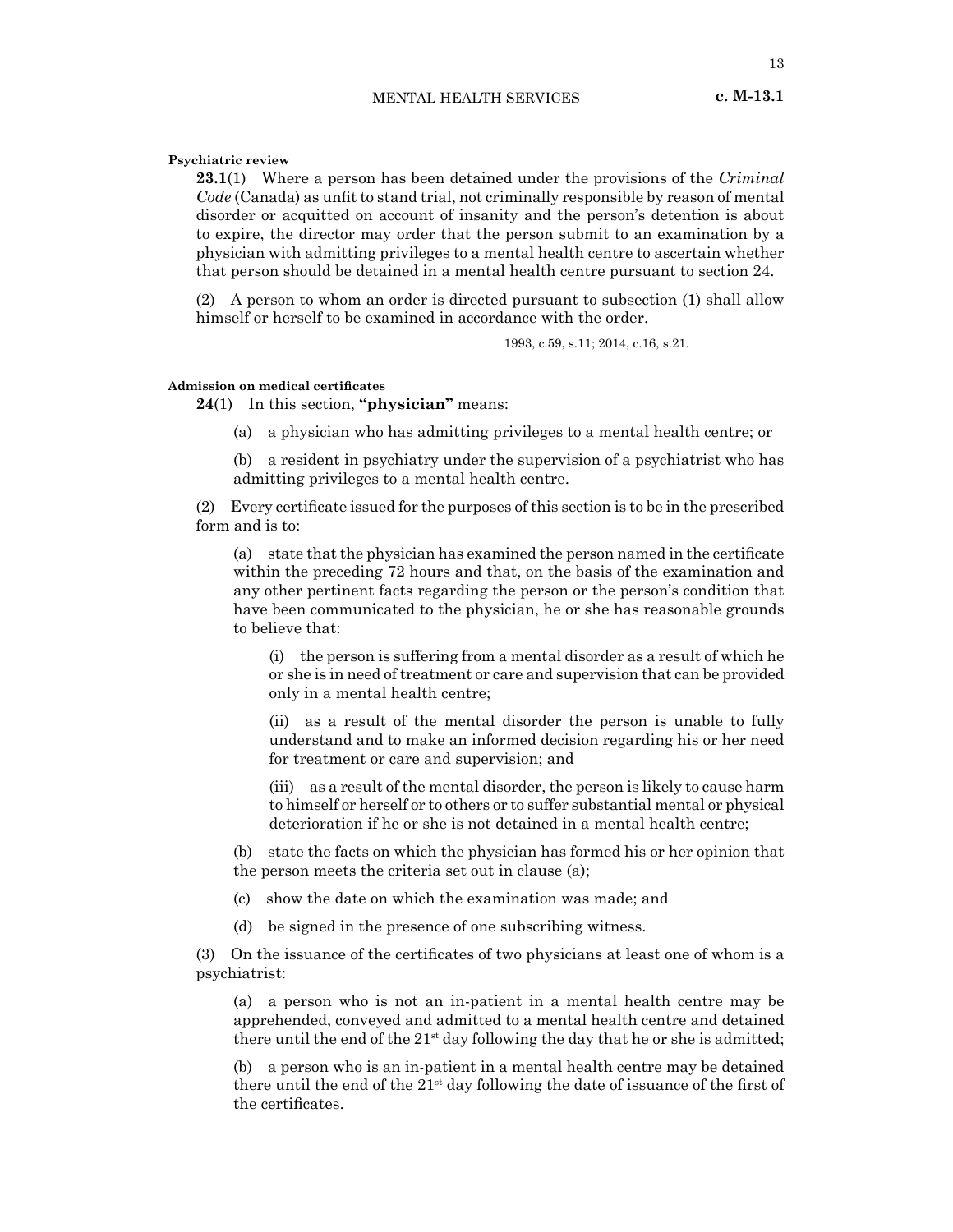# MENTAL HEALTH SERVICES **c. M-13.1**

13

#### **Psychiatric review**

**23.1**(1) Where a person has been detained under the provisions of the *Criminal Code* (Canada) as unfit to stand trial, not criminally responsible by reason of mental disorder or acquitted on account of insanity and the person's detention is about to expire, the director may order that the person submit to an examination by a physician with admitting privileges to a mental health centre to ascertain whether that person should be detained in a mental health centre pursuant to section 24.

(2) A person to whom an order is directed pursuant to subsection (1) shall allow himself or herself to be examined in accordance with the order.

1993, c.59, s.11; 2014, c.16, s.21.

# **Admission on medical certificates**

**24**(1) In this section, **"physician"** means:

(a) a physician who has admitting privileges to a mental health centre; or

(b) a resident in psychiatry under the supervision of a psychiatrist who has admitting privileges to a mental health centre.

(2) Every certificate issued for the purposes of this section is to be in the prescribed form and is to:

(a) state that the physician has examined the person named in the certificate within the preceding 72 hours and that, on the basis of the examination and any other pertinent facts regarding the person or the person's condition that have been communicated to the physician, he or she has reasonable grounds to believe that:

(i) the person is suffering from a mental disorder as a result of which he or she is in need of treatment or care and supervision that can be provided only in a mental health centre;

(ii) as a result of the mental disorder the person is unable to fully understand and to make an informed decision regarding his or her need for treatment or care and supervision; and

(iii) as a result of the mental disorder, the person is likely to cause harm to himself or herself or to others or to suffer substantial mental or physical deterioration if he or she is not detained in a mental health centre;

(b) state the facts on which the physician has formed his or her opinion that the person meets the criteria set out in clause (a);

(c) show the date on which the examination was made; and

(d) be signed in the presence of one subscribing witness.

(3) On the issuance of the certificates of two physicians at least one of whom is a psychiatrist:

(a) a person who is not an in-patient in a mental health centre may be apprehended, conveyed and admitted to a mental health centre and detained there until the end of the  $21^{st}$  day following the day that he or she is admitted;

(b) a person who is an in-patient in a mental health centre may be detained there until the end of the  $21^{st}$  day following the date of issuance of the first of the certificates.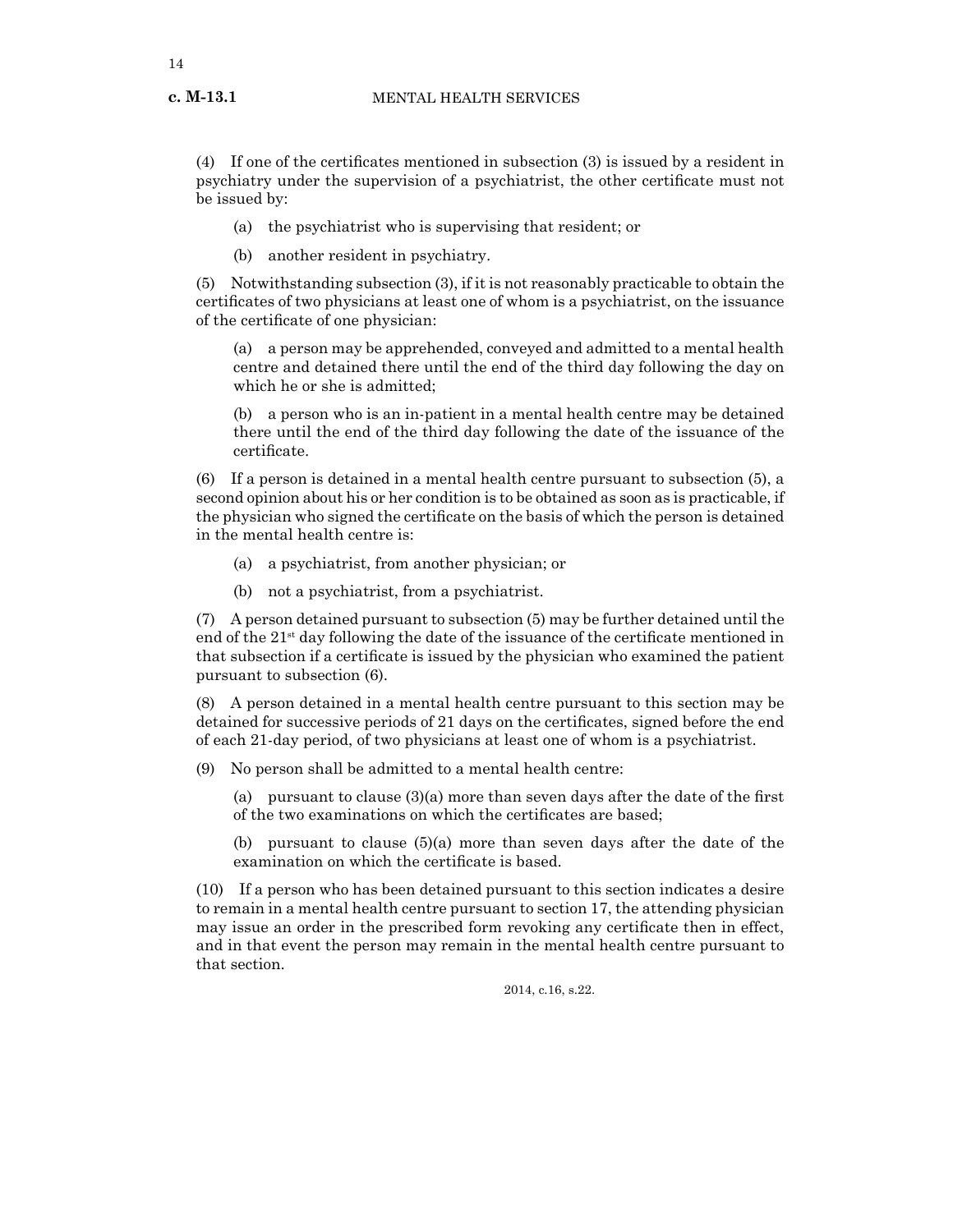(4) If one of the certificates mentioned in subsection (3) is issued by a resident in psychiatry under the supervision of a psychiatrist, the other certificate must not be issued by:

(a) the psychiatrist who is supervising that resident; or

(b) another resident in psychiatry.

(5) Notwithstanding subsection (3), if it is not reasonably practicable to obtain the certificates of two physicians at least one of whom is a psychiatrist, on the issuance of the certificate of one physician:

(a) a person may be apprehended, conveyed and admitted to a mental health centre and detained there until the end of the third day following the day on which he or she is admitted;

(b) a person who is an in-patient in a mental health centre may be detained there until the end of the third day following the date of the issuance of the certificate.

(6) If a person is detained in a mental health centre pursuant to subsection (5), a second opinion about his or her condition is to be obtained as soon as is practicable, if the physician who signed the certificate on the basis of which the person is detained in the mental health centre is:

- (a) a psychiatrist, from another physician; or
- (b) not a psychiatrist, from a psychiatrist.

(7) A person detained pursuant to subsection (5) may be further detained until the end of the  $21<sup>st</sup>$  day following the date of the issuance of the certificate mentioned in that subsection if a certificate is issued by the physician who examined the patient pursuant to subsection (6).

(8) A person detained in a mental health centre pursuant to this section may be detained for successive periods of 21 days on the certificates, signed before the end of each 21-day period, of two physicians at least one of whom is a psychiatrist.

- (9) No person shall be admitted to a mental health centre:
	- (a) pursuant to clause (3)(a) more than seven days after the date of the first of the two examinations on which the certificates are based;

(b) pursuant to clause (5)(a) more than seven days after the date of the examination on which the certificate is based.

(10) If a person who has been detained pursuant to this section indicates a desire to remain in a mental health centre pursuant to section 17, the attending physician may issue an order in the prescribed form revoking any certificate then in effect, and in that event the person may remain in the mental health centre pursuant to that section.

2014, c.16, s.22.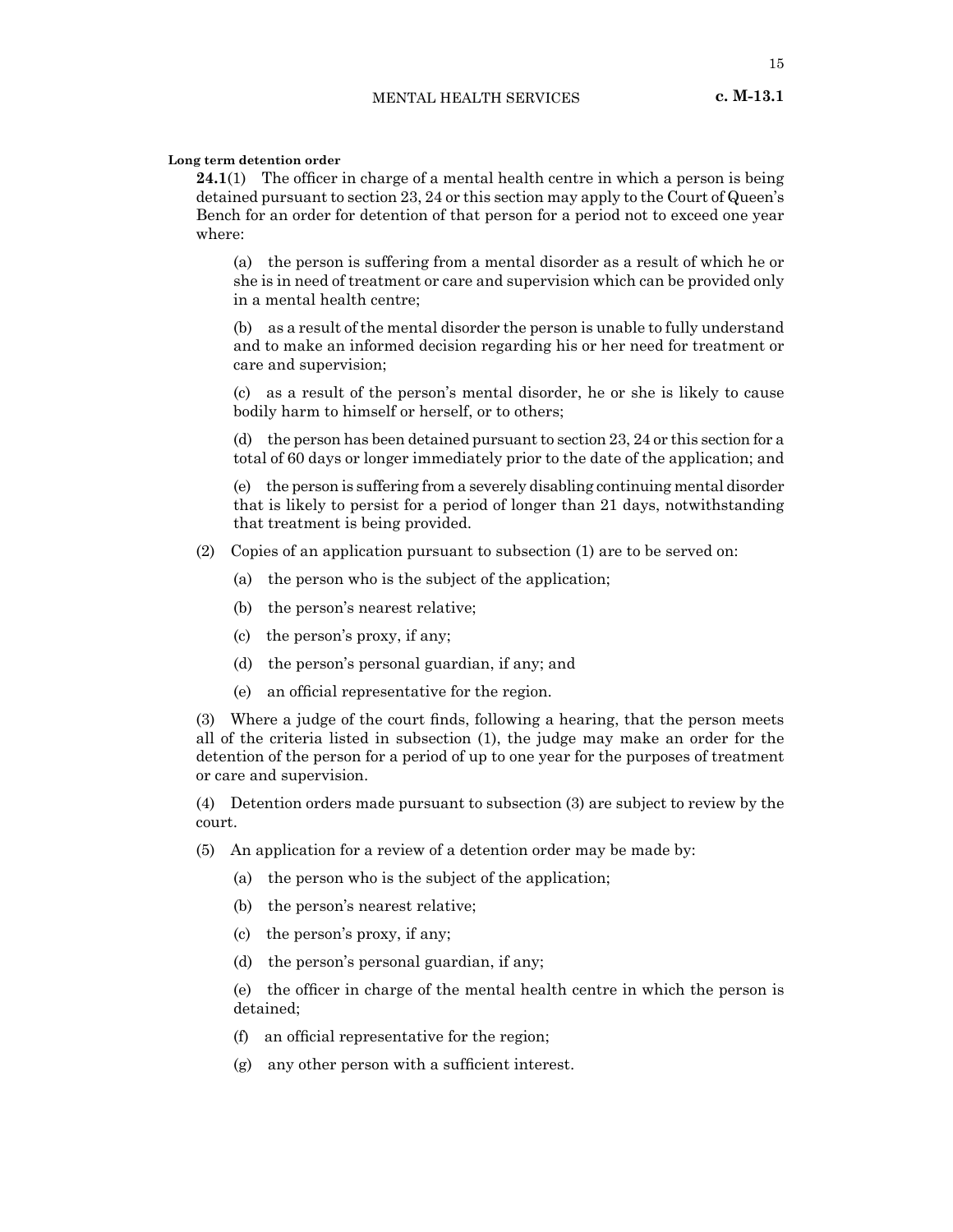## **Long term detention order**

**24.1**(1) The officer in charge of a mental health centre in which a person is being detained pursuant to section 23, 24 or this section may apply to the Court of Queen's Bench for an order for detention of that person for a period not to exceed one year where:

(a) the person is suffering from a mental disorder as a result of which he or she is in need of treatment or care and supervision which can be provided only in a mental health centre;

(b) as a result of the mental disorder the person is unable to fully understand and to make an informed decision regarding his or her need for treatment or care and supervision;

(c) as a result of the person's mental disorder, he or she is likely to cause bodily harm to himself or herself, or to others;

(d) the person has been detained pursuant to section 23, 24 or this section for a total of 60 days or longer immediately prior to the date of the application; and

(e) the person is suffering from a severely disabling continuing mental disorder that is likely to persist for a period of longer than 21 days, notwithstanding that treatment is being provided.

- (2) Copies of an application pursuant to subsection (1) are to be served on:
	- (a) the person who is the subject of the application;
	- (b) the person's nearest relative;
	- (c) the person's proxy, if any;
	- (d) the person's personal guardian, if any; and
	- (e) an official representative for the region.

(3) Where a judge of the court finds, following a hearing, that the person meets all of the criteria listed in subsection (1), the judge may make an order for the detention of the person for a period of up to one year for the purposes of treatment or care and supervision.

(4) Detention orders made pursuant to subsection (3) are subject to review by the court.

- (5) An application for a review of a detention order may be made by:
	- (a) the person who is the subject of the application;
	- (b) the person's nearest relative;
	- (c) the person's proxy, if any;
	- (d) the person's personal guardian, if any;

(e) the officer in charge of the mental health centre in which the person is detained;

- (f) an official representative for the region;
- (g) any other person with a sufficient interest.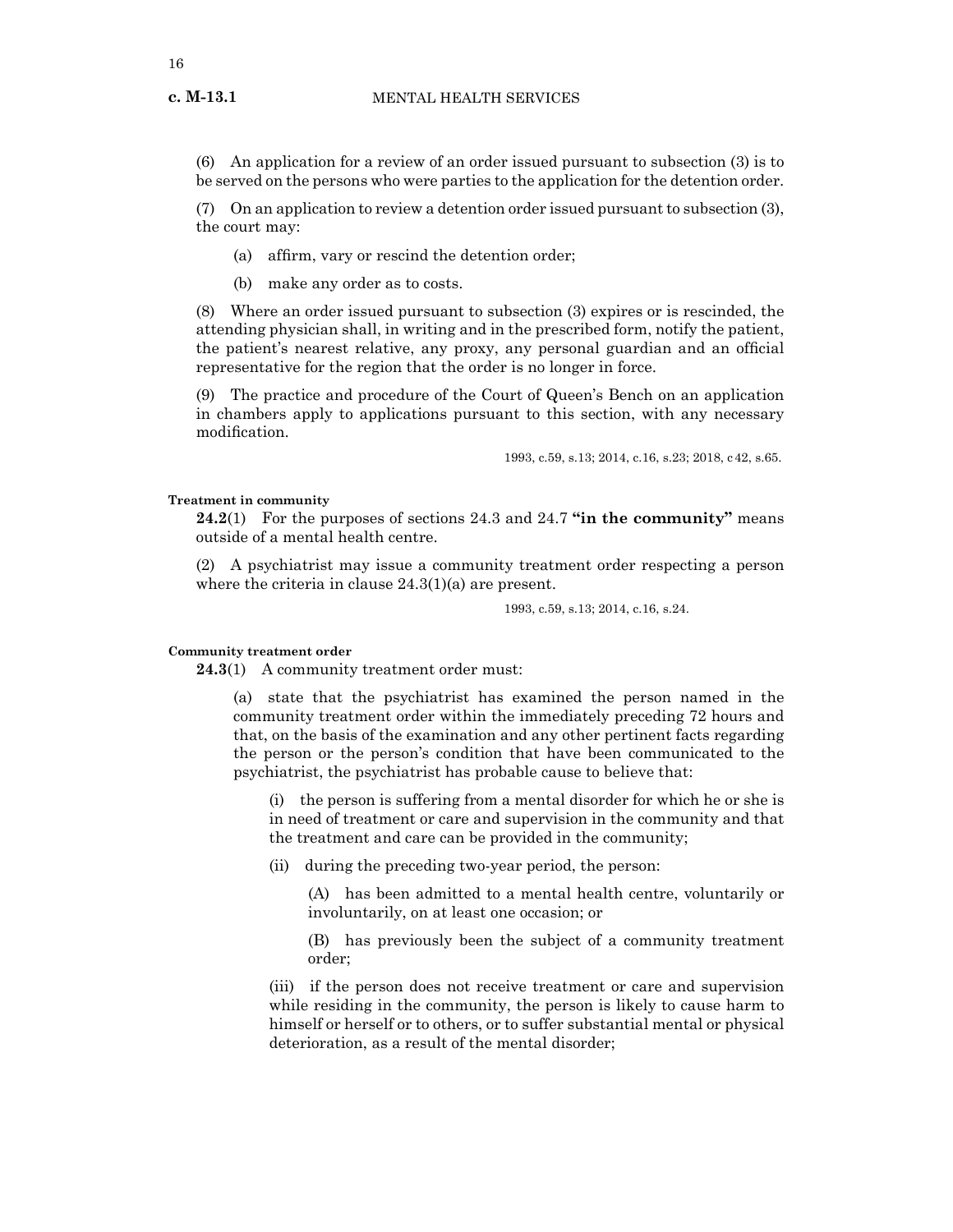(6) An application for a review of an order issued pursuant to subsection (3) is to be served on the persons who were parties to the application for the detention order.

(7) On an application to review a detention order issued pursuant to subsection (3), the court may:

- (a) affirm, vary or rescind the detention order;
- (b) make any order as to costs.

(8) Where an order issued pursuant to subsection (3) expires or is rescinded, the attending physician shall, in writing and in the prescribed form, notify the patient, the patient's nearest relative, any proxy, any personal guardian and an official representative for the region that the order is no longer in force.

(9) The practice and procedure of the Court of Queen's Bench on an application in chambers apply to applications pursuant to this section, with any necessary modification.

1993, c.59, s.13; 2014, c.16, s.23; 2018, c42, s.65.

#### **Treatment in community**

**24.2**(1) For the purposes of sections 24.3 and 24.7 **"in the community"** means outside of a mental health centre.

(2) A psychiatrist may issue a community treatment order respecting a person where the criteria in clause 24.3(1)(a) are present.

1993, c.59, s.13; 2014, c.16, s.24.

#### **Community treatment order**

**24.3**(1) A community treatment order must:

(a) state that the psychiatrist has examined the person named in the community treatment order within the immediately preceding 72 hours and that, on the basis of the examination and any other pertinent facts regarding the person or the person's condition that have been communicated to the psychiatrist, the psychiatrist has probable cause to believe that:

(i) the person is suffering from a mental disorder for which he or she is in need of treatment or care and supervision in the community and that the treatment and care can be provided in the community;

(ii) during the preceding two-year period, the person:

(A) has been admitted to a mental health centre, voluntarily or involuntarily, on at least one occasion; or

(B) has previously been the subject of a community treatment order;

(iii) if the person does not receive treatment or care and supervision while residing in the community, the person is likely to cause harm to himself or herself or to others, or to suffer substantial mental or physical deterioration, as a result of the mental disorder;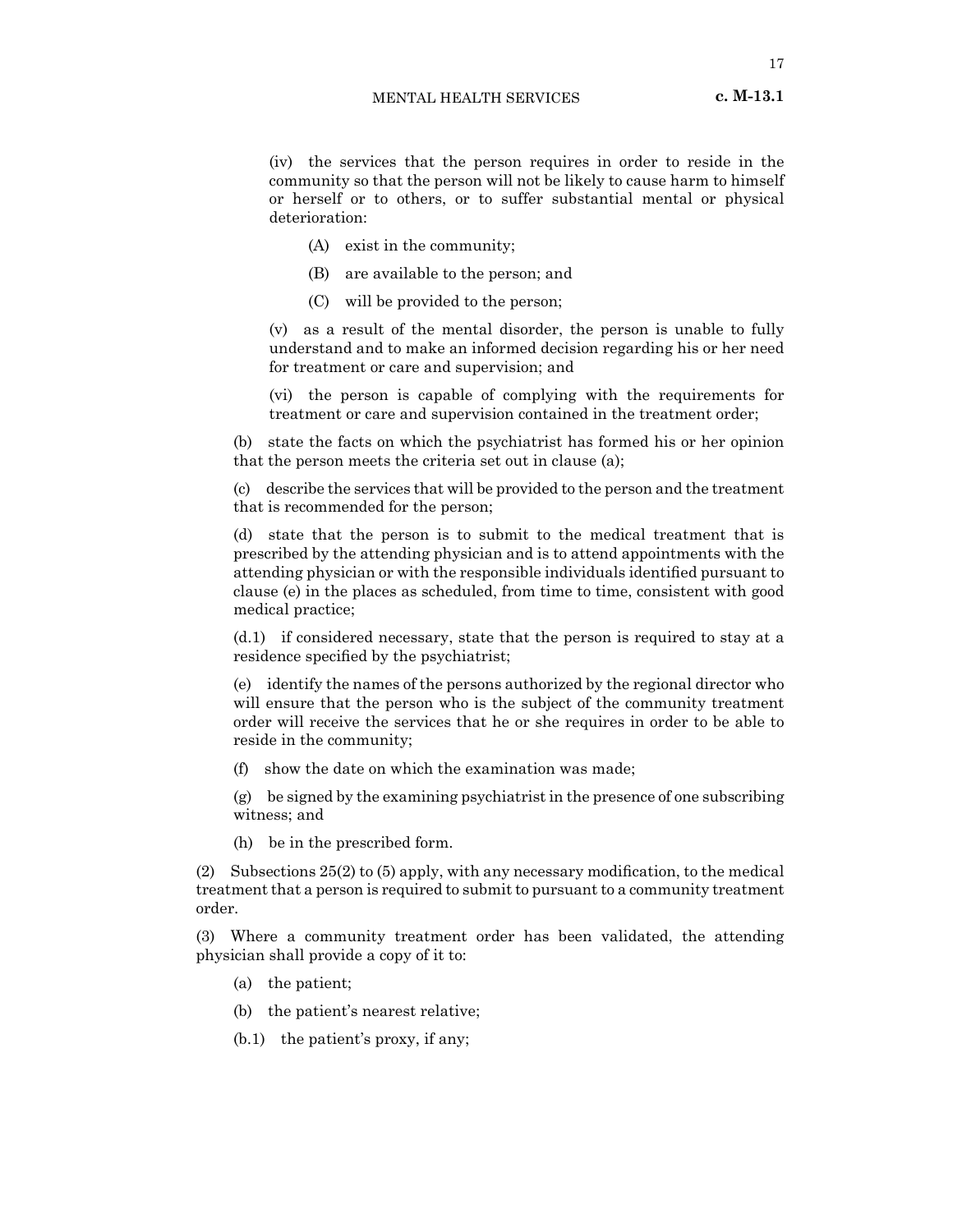(iv) the services that the person requires in order to reside in the community so that the person will not be likely to cause harm to himself or herself or to others, or to suffer substantial mental or physical deterioration:

- (A) exist in the community;
- (B) are available to the person; and
- (C) will be provided to the person;

(v) as a result of the mental disorder, the person is unable to fully understand and to make an informed decision regarding his or her need for treatment or care and supervision; and

(vi) the person is capable of complying with the requirements for treatment or care and supervision contained in the treatment order;

(b) state the facts on which the psychiatrist has formed his or her opinion that the person meets the criteria set out in clause (a);

(c) describe the services that will be provided to the person and the treatment that is recommended for the person;

(d) state that the person is to submit to the medical treatment that is prescribed by the attending physician and is to attend appointments with the attending physician or with the responsible individuals identified pursuant to clause (e) in the places as scheduled, from time to time, consistent with good medical practice;

(d.1) if considered necessary, state that the person is required to stay at a residence specified by the psychiatrist;

(e) identify the names of the persons authorized by the regional director who will ensure that the person who is the subject of the community treatment order will receive the services that he or she requires in order to be able to reside in the community;

(f) show the date on which the examination was made;

(g) be signed by the examining psychiatrist in the presence of one subscribing witness; and

(h) be in the prescribed form.

(2) Subsections 25(2) to (5) apply, with any necessary modification, to the medical treatment that a person is required to submit to pursuant to a community treatment order.

(3) Where a community treatment order has been validated, the attending physician shall provide a copy of it to:

- (a) the patient;
- (b) the patient's nearest relative;
- (b.1) the patient's proxy, if any;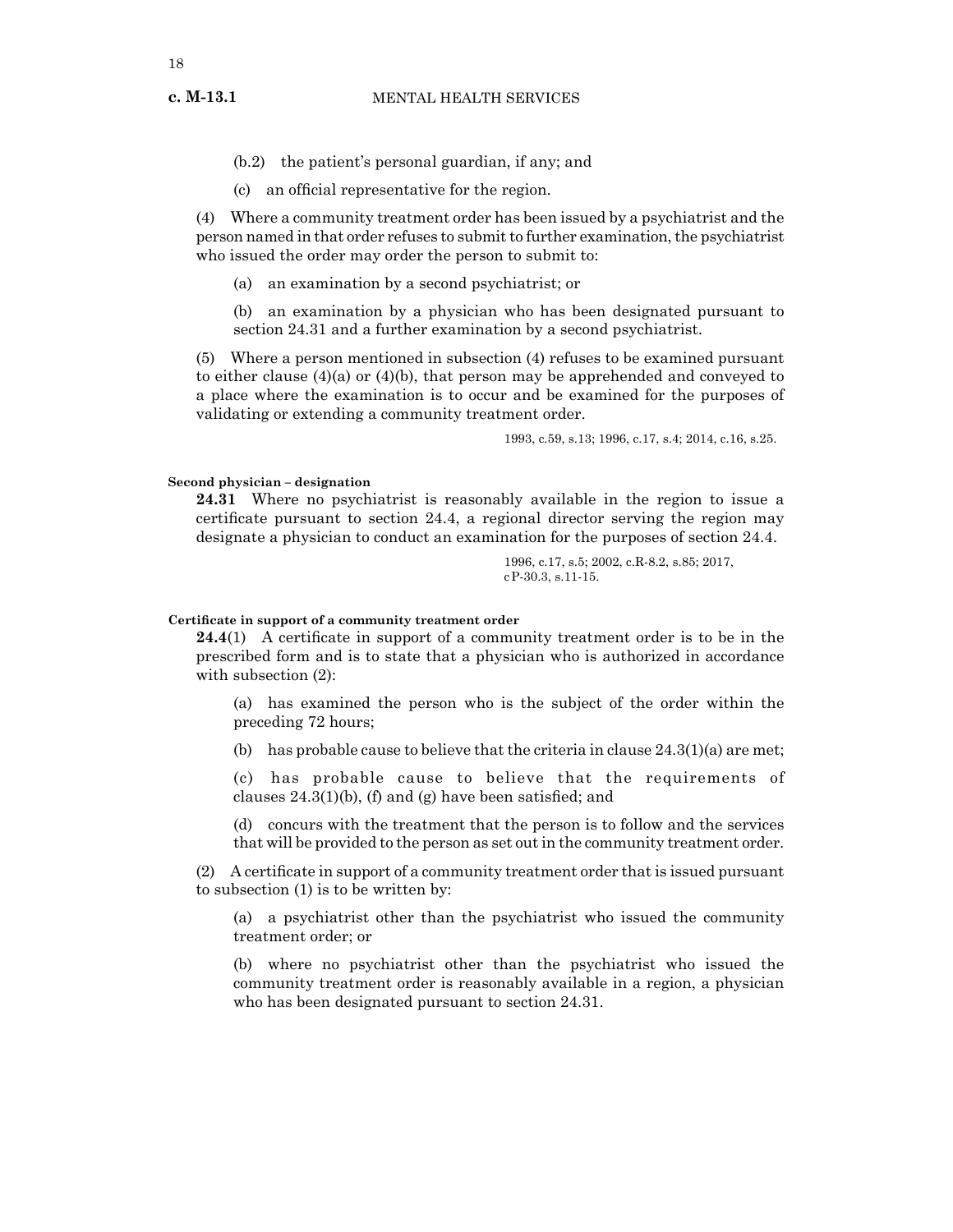(b.2) the patient's personal guardian, if any; and

(c) an official representative for the region.

(4) Where a community treatment order has been issued by a psychiatrist and the person named in that order refuses to submit to further examination, the psychiatrist who issued the order may order the person to submit to:

(a) an examination by a second psychiatrist; or

(b) an examination by a physician who has been designated pursuant to section 24.31 and a further examination by a second psychiatrist.

(5) Where a person mentioned in subsection (4) refuses to be examined pursuant to either clause  $(4)(a)$  or  $(4)(b)$ , that person may be apprehended and conveyed to a place where the examination is to occur and be examined for the purposes of validating or extending a community treatment order.

1993, c.59, s.13; 1996, c.17, s.4; 2014, c.16, s.25.

#### **Second physician – designation**

**24.31** Where no psychiatrist is reasonably available in the region to issue a certificate pursuant to section 24.4, a regional director serving the region may designate a physician to conduct an examination for the purposes of section 24.4.

> 1996, c.17, s.5; 2002, c.R-8.2, s.85; 2017, cP-30.3, s.11-15.

#### **Certificate in support of a community treatment order**

**24.4**(1) A certificate in support of a community treatment order is to be in the prescribed form and is to state that a physician who is authorized in accordance with subsection (2):

(a) has examined the person who is the subject of the order within the preceding 72 hours;

(b) has probable cause to believe that the criteria in clause  $24.3(1)(a)$  are met;

(c) has probable cause to believe that the requirements of clauses 24.3(1)(b), (f) and (g) have been satisfied; and

(d) concurs with the treatment that the person is to follow and the services that will be provided to the person as set out in the community treatment order.

(2) A certificate in support of a community treatment order that is issued pursuant to subsection (1) is to be written by:

(a) a psychiatrist other than the psychiatrist who issued the community treatment order; or

(b) where no psychiatrist other than the psychiatrist who issued the community treatment order is reasonably available in a region, a physician who has been designated pursuant to section 24.31.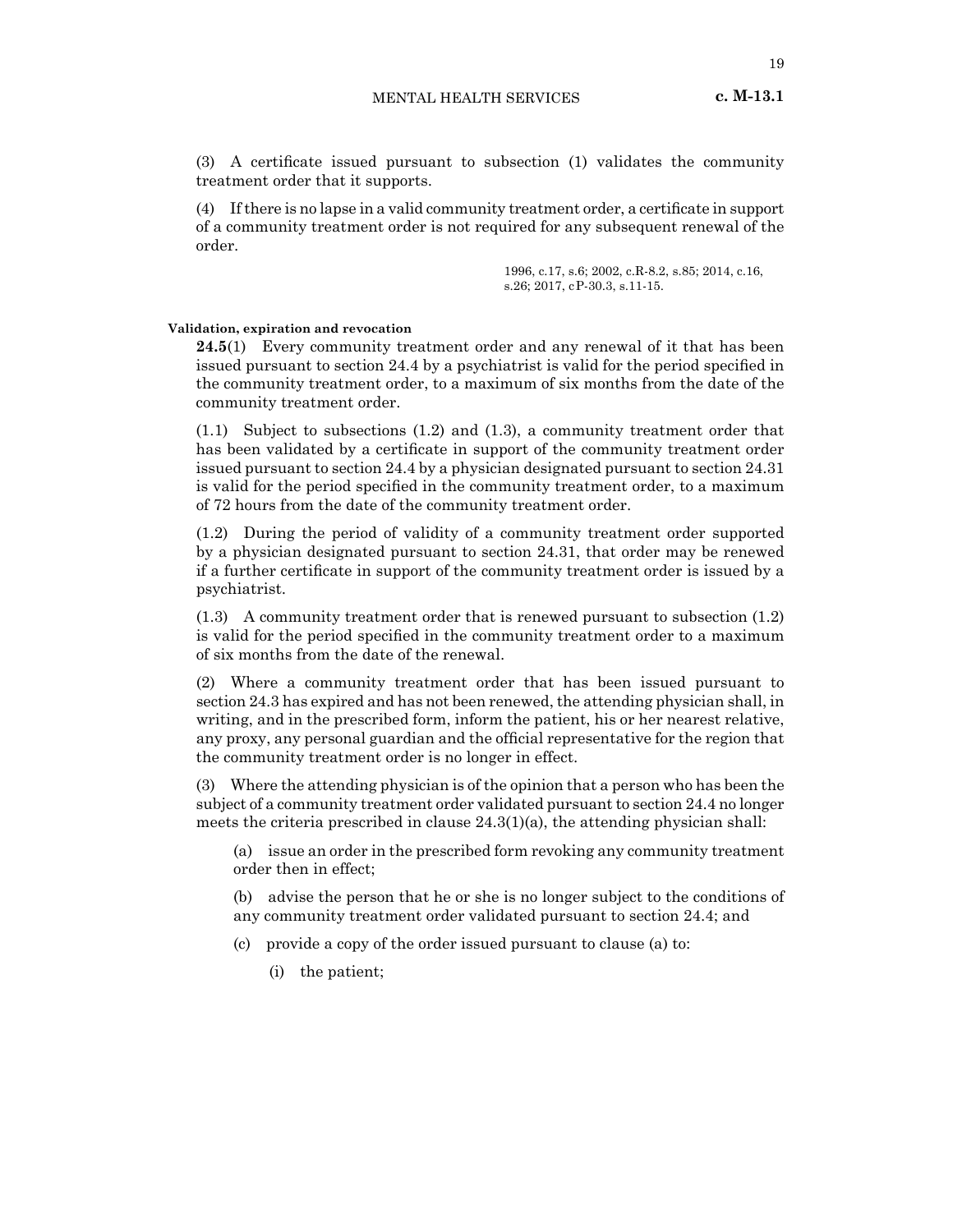(3) A certificate issued pursuant to subsection (1) validates the community treatment order that it supports.

(4) Ifthere is no lapse in a valid community treatment order, a certificate in support of a community treatment order is not required for any subsequent renewal of the order.

> 1996, c.17, s.6; 2002, c.R-8.2, s.85; 2014, c.16, s.26; 2017, cP-30.3, s.11-15.

#### **Validation, expiration and revocation**

**24.5**(1) Every community treatment order and any renewal of it that has been issued pursuant to section 24.4 by a psychiatrist is valid for the period specified in the community treatment order, to a maximum of six months from the date of the community treatment order.

(1.1) Subject to subsections (1.2) and (1.3), a community treatment order that has been validated by a certificate in support of the community treatment order issued pursuant to section 24.4 by a physician designated pursuant to section 24.31 is valid for the period specified in the community treatment order, to a maximum of 72 hours from the date of the community treatment order.

(1.2) During the period of validity of a community treatment order supported by a physician designated pursuant to section 24.31, that order may be renewed if a further certificate in support of the community treatment order is issued by a psychiatrist.

(1.3) A community treatment order that is renewed pursuant to subsection (1.2) is valid for the period specified in the community treatment order to a maximum of six months from the date of the renewal.

(2) Where a community treatment order that has been issued pursuant to section 24.3 has expired and has not been renewed, the attending physician shall, in writing, and in the prescribed form, inform the patient, his or her nearest relative, any proxy, any personal guardian and the official representative for the region that the community treatment order is no longer in effect.

(3) Where the attending physician is of the opinion that a person who has been the subject of a community treatment order validated pursuant to section 24.4 no longer meets the criteria prescribed in clause  $24.3(1)(a)$ , the attending physician shall:

(a) issue an order in the prescribed form revoking any community treatment order then in effect;

(b) advise the person that he or she is no longer subject to the conditions of any community treatment order validated pursuant to section 24.4; and

(c) provide a copy of the order issued pursuant to clause (a) to:

(i) the patient;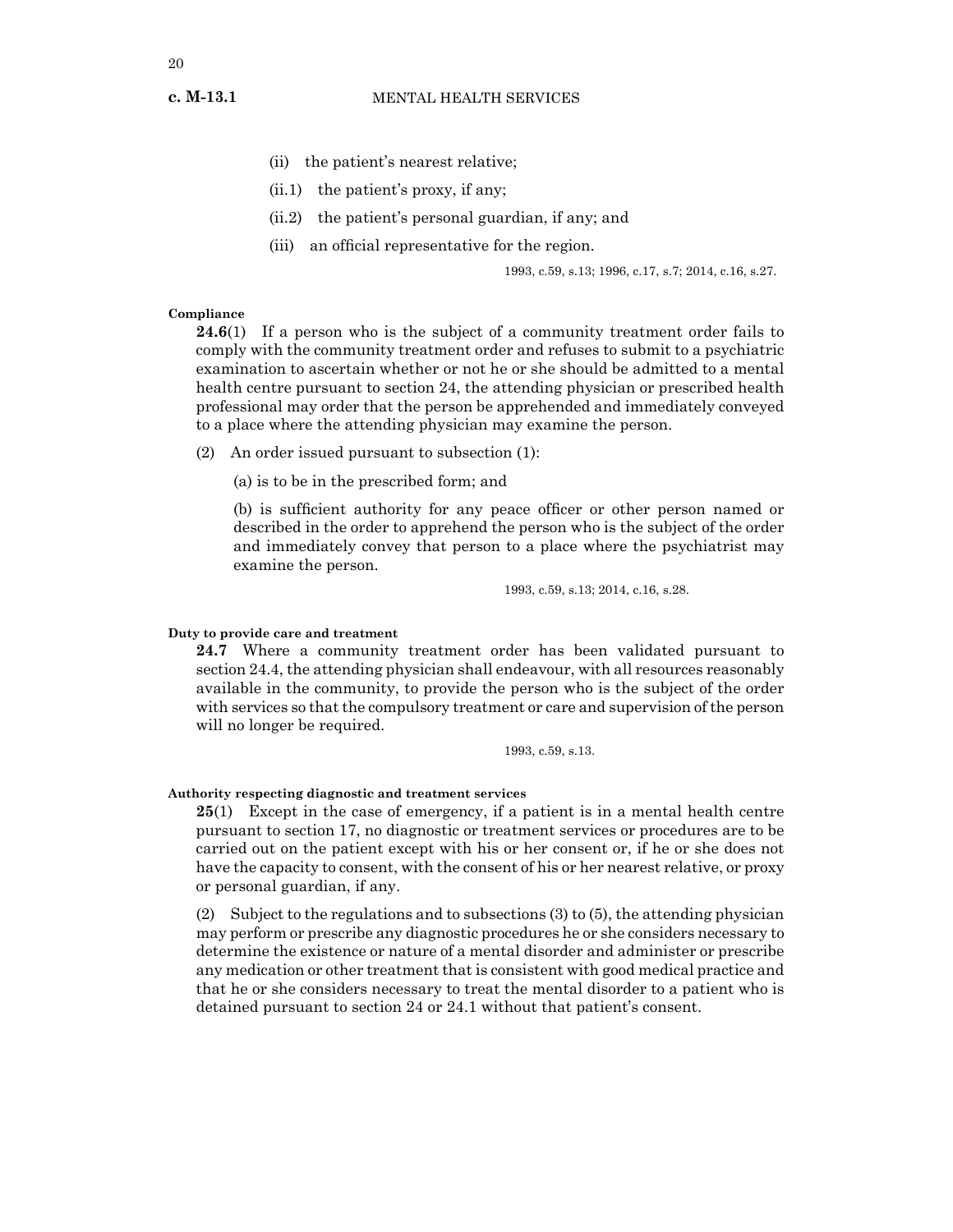- (ii) the patient's nearest relative;
- (ii.1) the patient's proxy, if any;
- (ii.2) the patient's personal guardian, if any; and
- (iii) an official representative for the region.

1993, c.59, s.13; 1996, c.17, s.7; 2014, c.16, s.27.

#### **Compliance**

**24.6**(1) If a person who is the subject of a community treatment order fails to comply with the community treatment order and refuses to submit to a psychiatric examination to ascertain whether or not he or she should be admitted to a mental health centre pursuant to section 24, the attending physician or prescribed health professional may order that the person be apprehended and immediately conveyed to a place where the attending physician may examine the person.

(2) An order issued pursuant to subsection (1):

(a) is to be in the prescribed form; and

(b) is sufficient authority for any peace officer or other person named or described in the order to apprehend the person who is the subject of the order and immediately convey that person to a place where the psychiatrist may examine the person.

1993, c.59, s.13; 2014, c.16, s.28.

# **Duty to provide care and treatment**

**24.7** Where a community treatment order has been validated pursuant to section 24.4, the attending physician shall endeavour, with all resources reasonably available in the community, to provide the person who is the subject of the order with services so that the compulsory treatment or care and supervision of the person will no longer be required.

1993, c.59, s.13.

# **Authority respecting diagnostic and treatment services**

**25**(1) Except in the case of emergency, if a patient is in a mental health centre pursuant to section 17, no diagnostic or treatment services or procedures are to be carried out on the patient except with his or her consent or, if he or she does not have the capacity to consent, with the consent of his or her nearest relative, or proxy or personal guardian, if any.

(2) Subject to the regulations and to subsections (3) to (5), the attending physician may perform or prescribe any diagnostic procedures he or she considers necessary to determine the existence or nature of a mental disorder and administer or prescribe any medication or other treatment that is consistent with good medical practice and that he or she considers necessary to treat the mental disorder to a patient who is detained pursuant to section 24 or 24.1 without that patient's consent.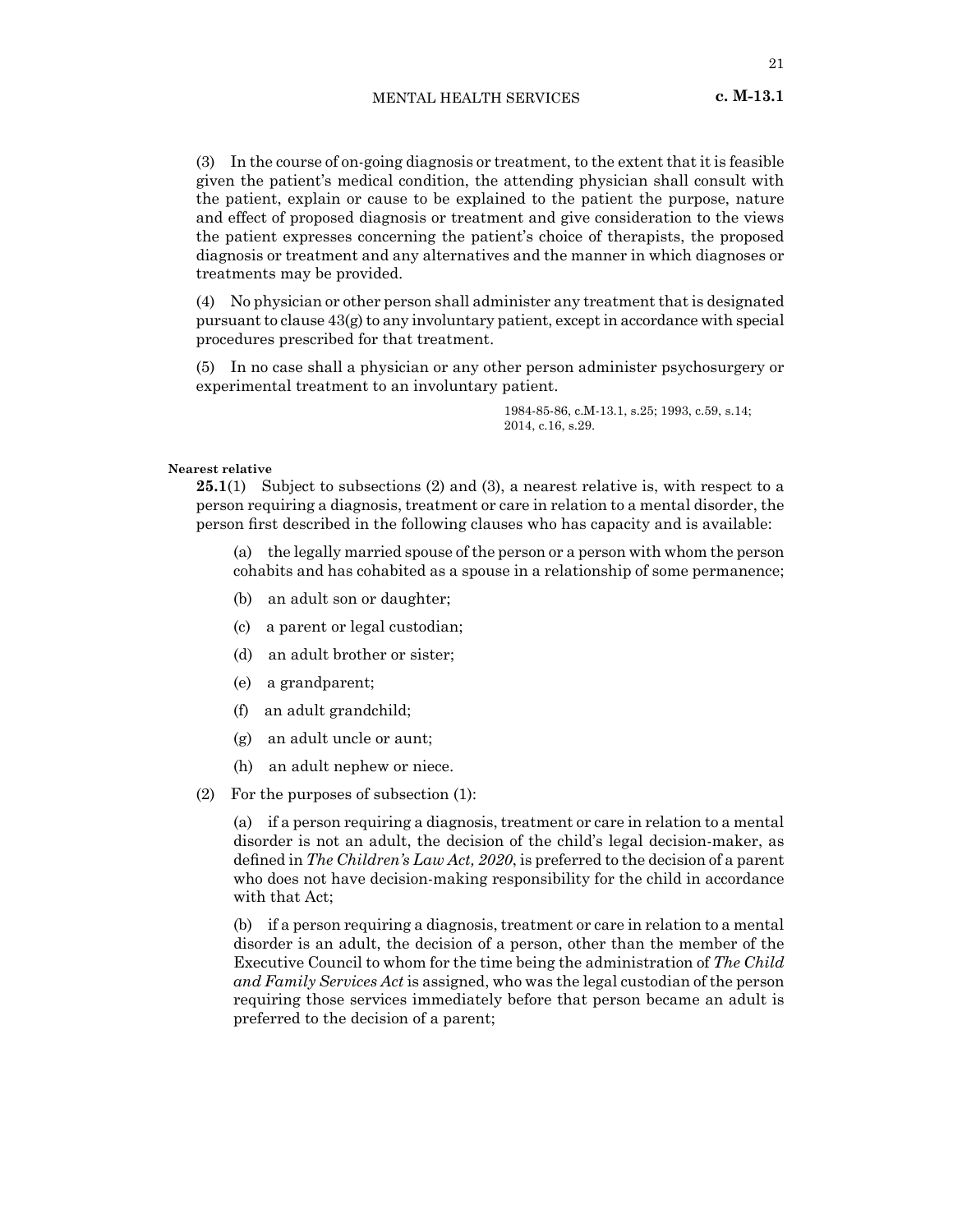21

(3) In the course of on-going diagnosis or treatment, to the extent that it is feasible given the patient's medical condition, the attending physician shall consult with the patient, explain or cause to be explained to the patient the purpose, nature and effect of proposed diagnosis or treatment and give consideration to the views the patient expresses concerning the patient's choice of therapists, the proposed diagnosis or treatment and any alternatives and the manner in which diagnoses or treatments may be provided.

(4) No physician or other person shall administer any treatment that is designated pursuant to clause  $43(g)$  to any involuntary patient, except in accordance with special procedures prescribed for that treatment.

(5) In no case shall a physician or any other person administer psychosurgery or experimental treatment to an involuntary patient.

> 1984-85-86, c.M-13.1, s.25; 1993, c.59, s.14; 2014, c.16, s.29.

# **Nearest relative**

**25.1**(1) Subject to subsections (2) and (3), a nearest relative is, with respect to a person requiring a diagnosis, treatment or care in relation to a mental disorder, the person first described in the following clauses who has capacity and is available:

(a) the legally married spouse of the person or a person with whom the person cohabits and has cohabited as a spouse in a relationship of some permanence;

- (b) an adult son or daughter;
- (c) a parent or legal custodian;
- (d) an adult brother or sister;
- (e) a grandparent;
- (f) an adult grandchild;
- (g) an adult uncle or aunt;
- (h) an adult nephew or niece.
- (2) For the purposes of subsection (1):

(a) if a person requiring a diagnosis, treatment or care in relation to a mental disorder is not an adult, the decision of the child's legal decision-maker, as defined in *The Children's Law Act, 2020*, is preferred to the decision of a parent who does not have decision-making responsibility for the child in accordance with that Act;

(b) if a person requiring a diagnosis, treatment or care in relation to a mental disorder is an adult, the decision of a person, other than the member of the Executive Council to whom for the time being the administration of *The Child and Family Services Act* is assigned, who was the legal custodian of the person requiring those services immediately before that person became an adult is preferred to the decision of a parent;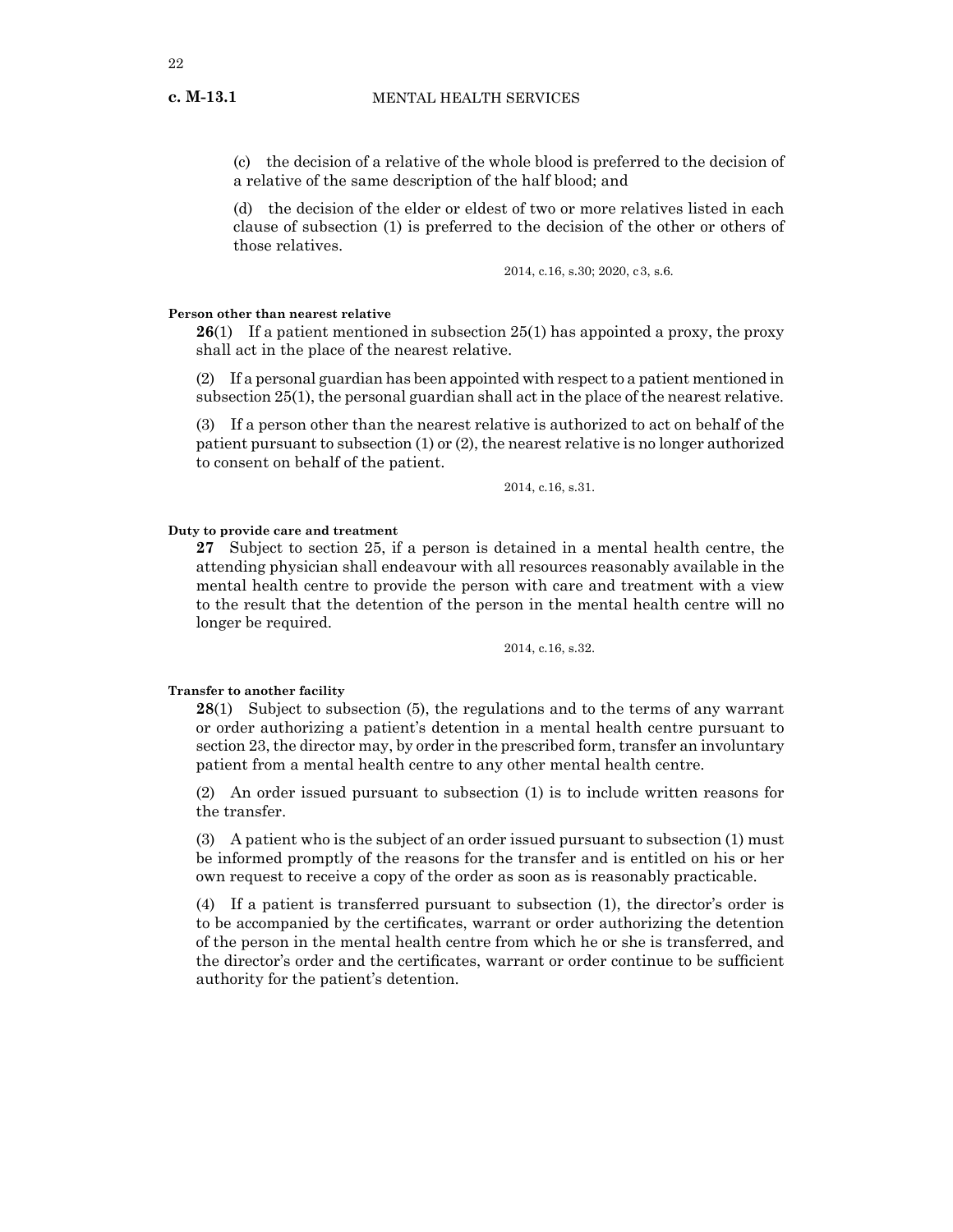**c. M-13.1**

(c) the decision of a relative of the whole blood is preferred to the decision of a relative of the same description of the half blood; and

(d) the decision of the elder or eldest of two or more relatives listed in each clause of subsection (1) is preferred to the decision of the other or others of those relatives.

2014, c.16, s.30; 2020, c3, s.6.

#### **Person other than nearest relative**

**26**(1) If a patient mentioned in subsection 25(1) has appointed a proxy, the proxy shall act in the place of the nearest relative.

(2) If a personal guardian has been appointed with respect to a patient mentioned in subsection 25(1), the personal guardian shall act in the place of the nearest relative.

(3) If a person other than the nearest relative is authorized to act on behalf of the patient pursuant to subsection (1) or (2), the nearest relative is no longer authorized to consent on behalf of the patient.

2014, c.16, s.31.

# **Duty to provide care and treatment**

**27** Subject to section 25, if a person is detained in a mental health centre, the attending physician shall endeavour with all resources reasonably available in the mental health centre to provide the person with care and treatment with a view to the result that the detention of the person in the mental health centre will no longer be required.

2014, c.16, s.32.

# **Transfer to another facility**

**28**(1) Subject to subsection (5), the regulations and to the terms of any warrant or order authorizing a patient's detention in a mental health centre pursuant to section 23, the director may, by order in the prescribed form, transfer an involuntary patient from a mental health centre to any other mental health centre.

(2) An order issued pursuant to subsection (1) is to include written reasons for the transfer.

(3) A patient who is the subject of an order issued pursuant to subsection (1) must be informed promptly of the reasons for the transfer and is entitled on his or her own request to receive a copy of the order as soon as is reasonably practicable.

(4) If a patient is transferred pursuant to subsection (1), the director's order is to be accompanied by the certificates, warrant or order authorizing the detention of the person in the mental health centre from which he or she is transferred, and the director's order and the certificates, warrant or order continue to be sufficient authority for the patient's detention.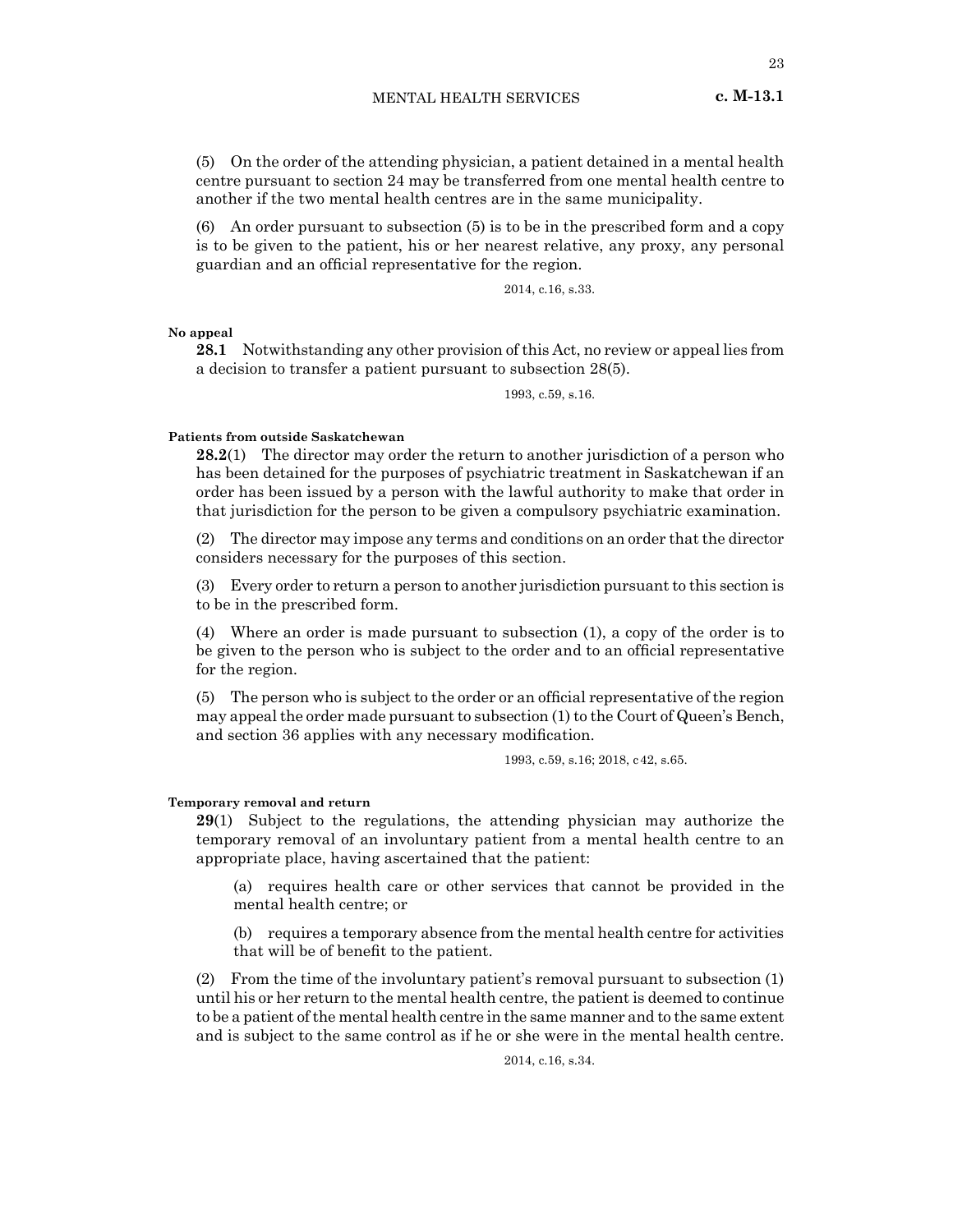(5) On the order of the attending physician, a patient detained in a mental health centre pursuant to section 24 may be transferred from one mental health centre to another if the two mental health centres are in the same municipality.

(6) An order pursuant to subsection (5) is to be in the prescribed form and a copy is to be given to the patient, his or her nearest relative, any proxy, any personal guardian and an official representative for the region.

2014, c.16, s.33.

**No appeal**

**28.1** Notwithstanding any other provision of this Act, no review or appeal lies from a decision to transfer a patient pursuant to subsection 28(5).

1993, c.59, s.16.

# **Patients from outside Saskatchewan**

**28.2**(1) The director may order the return to another jurisdiction of a person who has been detained for the purposes of psychiatric treatment in Saskatchewan if an order has been issued by a person with the lawful authority to make that order in that jurisdiction for the person to be given a compulsory psychiatric examination.

(2) The director may impose any terms and conditions on an order that the director considers necessary for the purposes of this section.

(3) Every order to return a person to another jurisdiction pursuant to this section is to be in the prescribed form.

(4) Where an order is made pursuant to subsection (1), a copy of the order is to be given to the person who is subject to the order and to an official representative for the region.

(5) The person who is subject to the order or an official representative of the region may appeal the order made pursuant to subsection (1) to the Court of Queen's Bench, and section 36 applies with any necessary modification.

1993, c.59, s.16; 2018, c42, s.65.

#### **Temporary removal and return**

**29**(1) Subject to the regulations, the attending physician may authorize the temporary removal of an involuntary patient from a mental health centre to an appropriate place, having ascertained that the patient:

(a) requires health care or other services that cannot be provided in the mental health centre; or

(b) requires a temporary absence from the mental health centre for activities that will be of benefit to the patient.

(2) From the time of the involuntary patient's removal pursuant to subsection (1) until his or her return to the mental health centre, the patient is deemed to continue to be a patient of the mental health centre in the same manner and to the same extent and is subject to the same control as if he or she were in the mental health centre.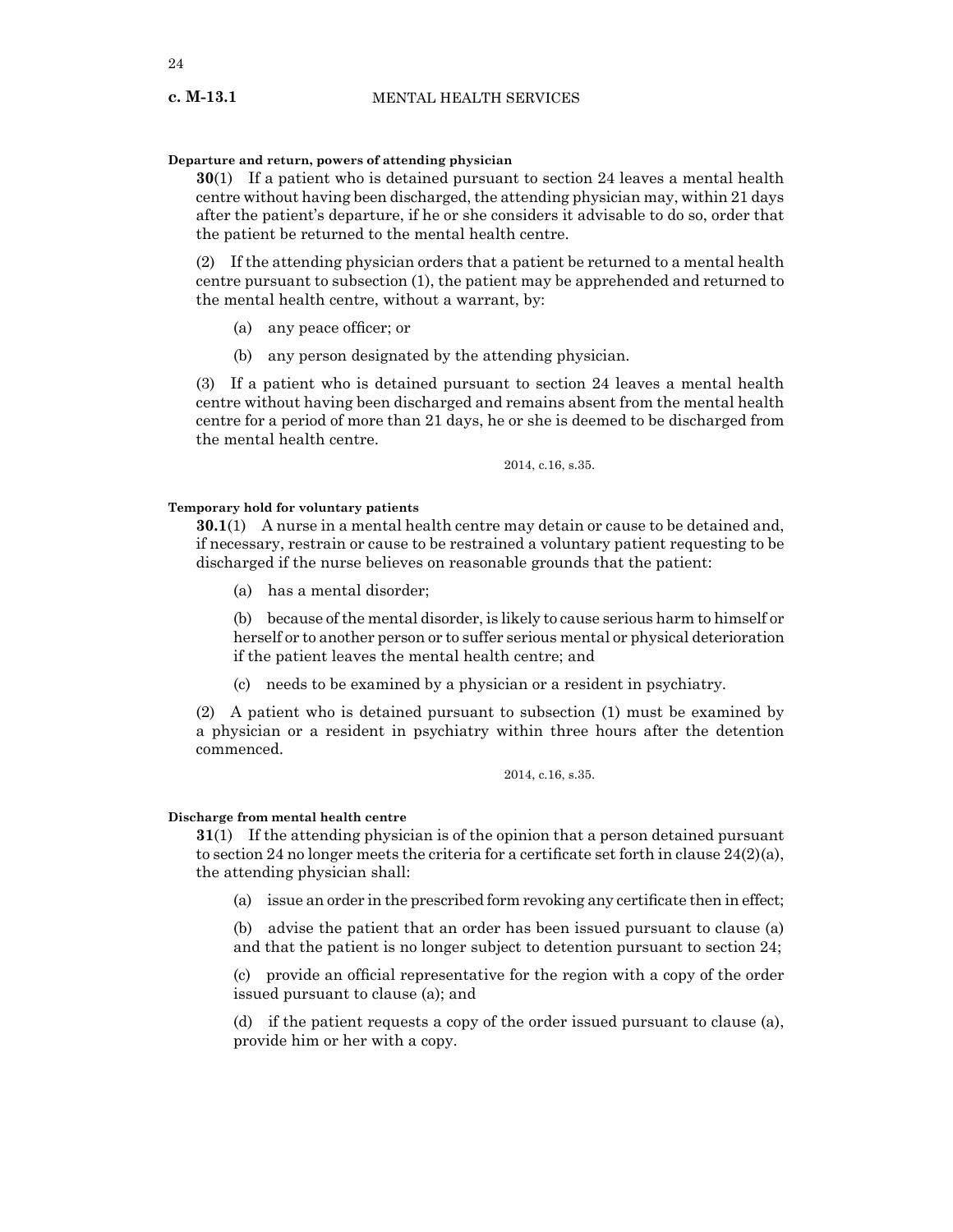#### **Departure and return, powers of attending physician**

**30**(1) If a patient who is detained pursuant to section 24 leaves a mental health centre without having been discharged, the attending physician may, within 21 days after the patient's departure, if he or she considers it advisable to do so, order that the patient be returned to the mental health centre.

(2) If the attending physician orders that a patient be returned to a mental health centre pursuant to subsection (1), the patient may be apprehended and returned to the mental health centre, without a warrant, by:

- (a) any peace officer; or
- (b) any person designated by the attending physician.

(3) If a patient who is detained pursuant to section 24 leaves a mental health centre without having been discharged and remains absent from the mental health centre for a period of more than 21 days, he or she is deemed to be discharged from the mental health centre.

2014, c.16, s.35.

# **Temporary hold for voluntary patients**

**30.1**(1) A nurse in a mental health centre may detain or cause to be detained and, if necessary, restrain or cause to be restrained a voluntary patient requesting to be discharged if the nurse believes on reasonable grounds that the patient:

(a) has a mental disorder;

(b) because of the mental disorder, is likely to cause serious harm to himself or herself or to another person or to suffer serious mental or physical deterioration if the patient leaves the mental health centre; and

(c) needs to be examined by a physician or a resident in psychiatry.

(2) A patient who is detained pursuant to subsection (1) must be examined by a physician or a resident in psychiatry within three hours after the detention commenced.

#### 2014, c.16, s.35.

#### **Discharge from mental health centre**

**31**(1) If the attending physician is of the opinion that a person detained pursuant to section 24 no longer meets the criteria for a certificate set forth in clause  $24(2)(a)$ , the attending physician shall:

(a) issue an order in the prescribed form revoking any certificate then in effect;

(b) advise the patient that an order has been issued pursuant to clause (a) and that the patient is no longer subject to detention pursuant to section 24;

(c) provide an official representative for the region with a copy of the order issued pursuant to clause (a); and

(d) if the patient requests a copy of the order issued pursuant to clause (a), provide him or her with a copy.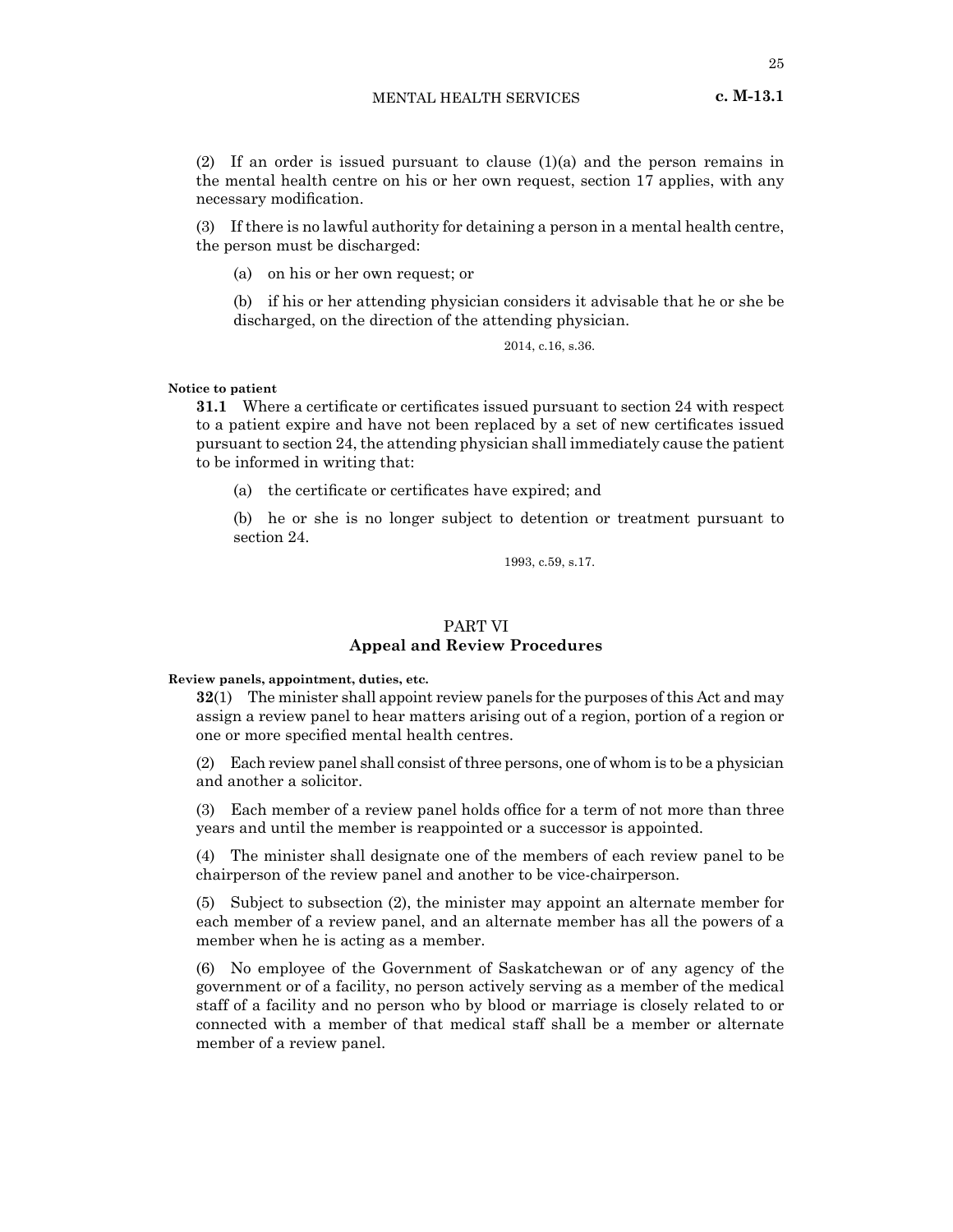(2) If an order is issued pursuant to clause  $(1)(a)$  and the person remains in the mental health centre on his or her own request, section 17 applies, with any necessary modification.

(3) If there is no lawful authority for detaining a person in a mental health centre, the person must be discharged:

(a) on his or her own request; or

(b) if his or her attending physician considers it advisable that he or she be discharged, on the direction of the attending physician.

2014, c.16, s.36.

#### **Notice to patient**

**31.1** Where a certificate or certificates issued pursuant to section 24 with respect to a patient expire and have not been replaced by a set of new certificates issued pursuant to section 24, the attending physician shall immediately cause the patient to be informed in writing that:

(a) the certificate or certificates have expired; and

(b) he or she is no longer subject to detention or treatment pursuant to section 24.

1993, c.59, s.17.

# PART VI **Appeal and Review Procedures**

**Review panels, appointment, duties, etc.**

**32**(1) The minister shall appoint review panels for the purposes of this Act and may assign a review panel to hear matters arising out of a region, portion of a region or one or more specified mental health centres.

(2) Each review panel shall consist of three persons, one of whom is to be a physician and another a solicitor.

(3) Each member of a review panel holds office for a term of not more than three years and until the member is reappointed or a successor is appointed.

(4) The minister shall designate one of the members of each review panel to be chairperson of the review panel and another to be vice-chairperson.

(5) Subject to subsection (2), the minister may appoint an alternate member for each member of a review panel, and an alternate member has all the powers of a member when he is acting as a member.

(6) No employee of the Government of Saskatchewan or of any agency of the government or of a facility, no person actively serving as a member of the medical staff of a facility and no person who by blood or marriage is closely related to or connected with a member of that medical staff shall be a member or alternate member of a review panel.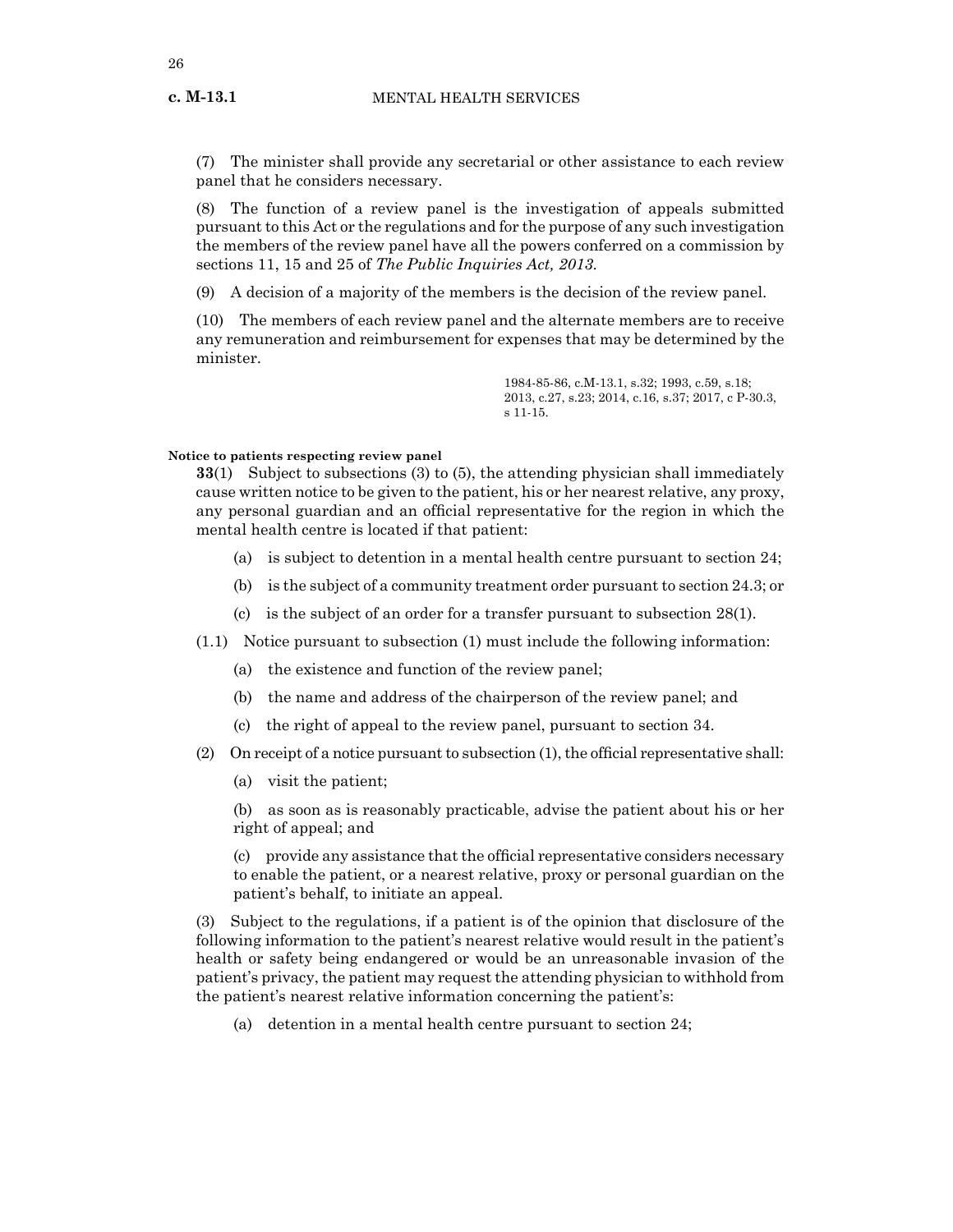(7) The minister shall provide any secretarial or other assistance to each review panel that he considers necessary.

(8) The function of a review panel is the investigation of appeals submitted pursuant to this Act or the regulations and for the purpose of any such investigation the members of the review panel have all the powers conferred on a commission by sections 11, 15 and 25 of *The Public Inquiries Act, 2013.*

(9) A decision of a majority of the members is the decision of the review panel.

(10) The members of each review panel and the alternate members are to receive any remuneration and reimbursement for expenses that may be determined by the minister.

> 1984-85-86, c.M-13.1, s.32; 1993, c.59, s.18; 2013, c.27, s.23; 2014, c.16, s.37; 2017, c P-30.3, s 11-15.

#### **Notice to patients respecting review panel**

**33**(1) Subject to subsections (3) to (5), the attending physician shall immediately cause written notice to be given to the patient, his or her nearest relative, any proxy, any personal guardian and an official representative for the region in which the mental health centre is located if that patient:

- (a) is subject to detention in a mental health centre pursuant to section 24;
- (b) is the subject of a community treatment order pursuant to section 24.3; or
- (c) is the subject of an order for a transfer pursuant to subsection 28(1).
- (1.1) Notice pursuant to subsection (1) must include the following information:
	- (a) the existence and function of the review panel;
	- (b) the name and address of the chairperson of the review panel; and
	- (c) the right of appeal to the review panel, pursuant to section 34.
- $(2)$  On receipt of a notice pursuant to subsection  $(1)$ , the official representative shall:
	- (a) visit the patient;

(b) as soon as is reasonably practicable, advise the patient about his or her right of appeal; and

(c) provide any assistance that the official representative considers necessary to enable the patient, or a nearest relative, proxy or personal guardian on the patient's behalf, to initiate an appeal.

(3) Subject to the regulations, if a patient is of the opinion that disclosure of the following information to the patient's nearest relative would result in the patient's health or safety being endangered or would be an unreasonable invasion of the patient's privacy, the patient may request the attending physician to withhold from the patient's nearest relative information concerning the patient's:

(a) detention in a mental health centre pursuant to section 24;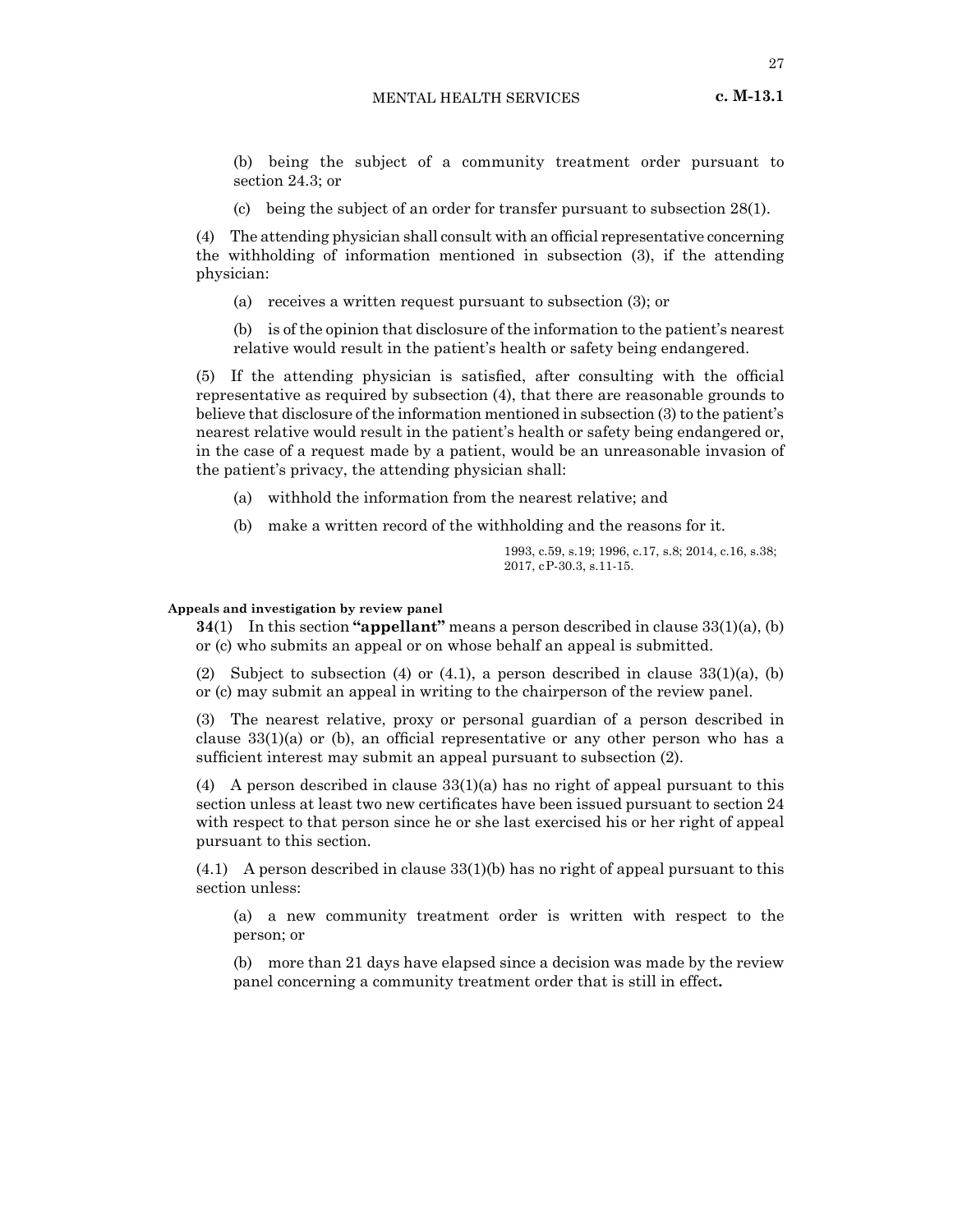(b) being the subject of a community treatment order pursuant to section 24.3; or

(c) being the subject of an order for transfer pursuant to subsection 28(1).

(4) The attending physician shall consult with an official representative concerning the withholding of information mentioned in subsection (3), if the attending physician:

(a) receives a written request pursuant to subsection (3); or

(b) is of the opinion that disclosure of the information to the patient's nearest relative would result in the patient's health or safety being endangered.

(5) If the attending physician is satisfied, after consulting with the official representative as required by subsection (4), that there are reasonable grounds to believe that disclosure of the information mentioned in subsection (3) to the patient's nearest relative would result in the patient's health or safety being endangered or, in the case of a request made by a patient, would be an unreasonable invasion of the patient's privacy, the attending physician shall:

(a) withhold the information from the nearest relative; and

(b) make a written record of the withholding and the reasons for it.

1993, c.59, s.19; 1996, c.17, s.8; 2014, c.16, s.38; 2017, cP-30.3, s.11-15.

#### **Appeals and investigation by review panel**

**34**(1) In this section **"appellant"** means a person described in clause 33(1)(a), (b) or (c) who submits an appeal or on whose behalf an appeal is submitted.

(2) Subject to subsection (4) or (4.1), a person described in clause  $33(1)(a)$ , (b) or (c) may submit an appeal in writing to the chairperson of the review panel.

(3) The nearest relative, proxy or personal guardian of a person described in clause 33(1)(a) or (b), an official representative or any other person who has a sufficient interest may submit an appeal pursuant to subsection (2).

(4) A person described in clause 33(1)(a) has no right of appeal pursuant to this section unless at least two new certificates have been issued pursuant to section 24 with respect to that person since he or she last exercised his or her right of appeal pursuant to this section.

 $(4.1)$  A person described in clause  $33(1)(b)$  has no right of appeal pursuant to this section unless:

(a) a new community treatment order is written with respect to the person; or

(b) more than 21 days have elapsed since a decision was made by the review panel concerning a community treatment order that is still in effect**.**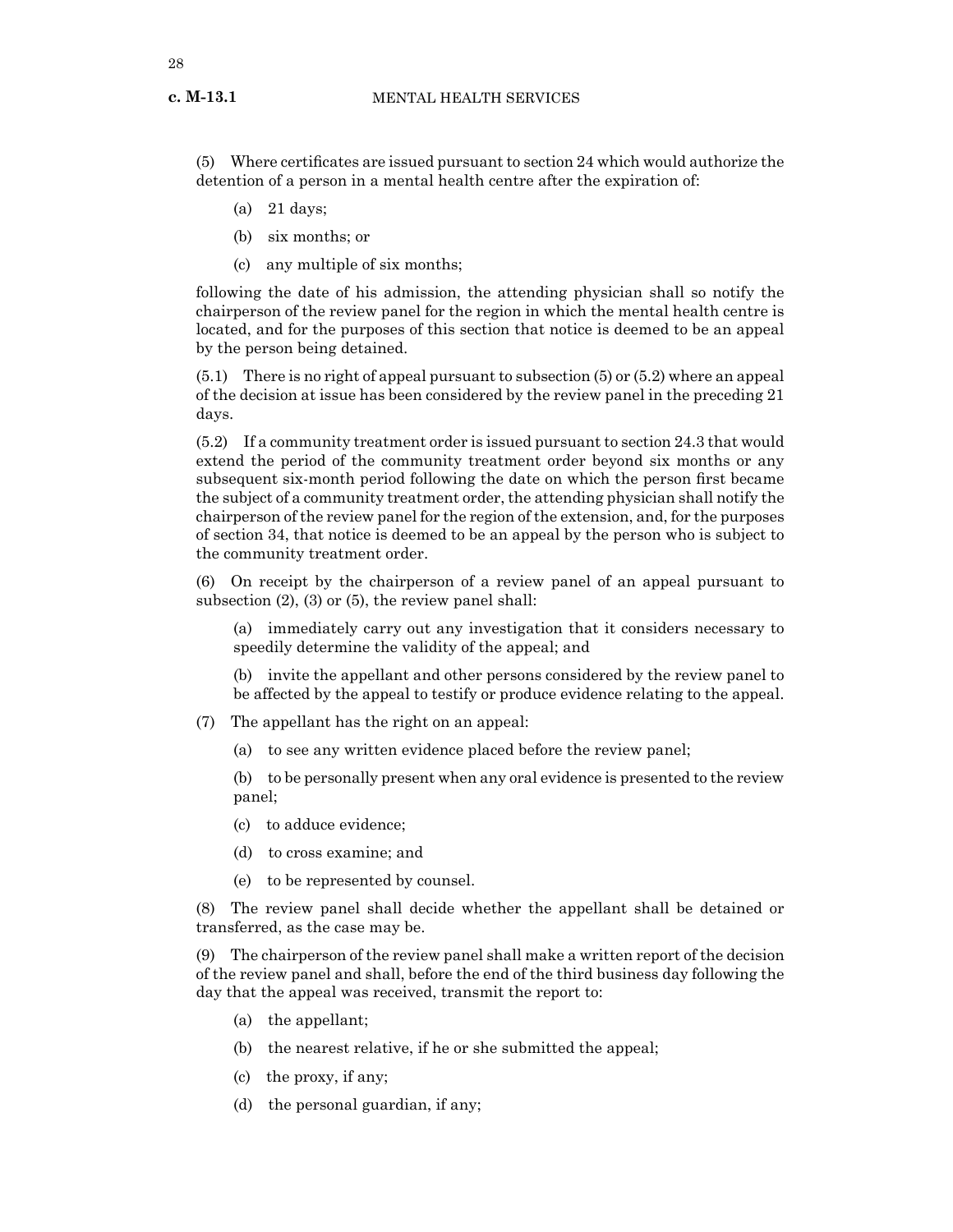**c. M-13.1**

(5) Where certificates are issued pursuant to section 24 which would authorize the detention of a person in a mental health centre after the expiration of:

- (a) 21 days;
- (b) six months; or
- (c) any multiple of six months;

following the date of his admission, the attending physician shall so notify the chairperson of the review panel for the region in which the mental health centre is located, and for the purposes of this section that notice is deemed to be an appeal by the person being detained.

(5.1) There is no right of appeal pursuant to subsection (5) or (5.2) where an appeal of the decision at issue has been considered by the review panel in the preceding 21 days.

(5.2) If a community treatment order is issued pursuant to section 24.3 that would extend the period of the community treatment order beyond six months or any subsequent six-month period following the date on which the person first became the subject of a community treatment order, the attending physician shall notify the chairperson of the review panel for the region of the extension, and, for the purposes of section 34, that notice is deemed to be an appeal by the person who is subject to the community treatment order.

(6) On receipt by the chairperson of a review panel of an appeal pursuant to subsection (2), (3) or (5), the review panel shall:

(a) immediately carry out any investigation that it considers necessary to speedily determine the validity of the appeal; and

(b) invite the appellant and other persons considered by the review panel to be affected by the appeal to testify or produce evidence relating to the appeal.

- (7) The appellant has the right on an appeal:
	- (a) to see any written evidence placed before the review panel;

(b) to be personally present when any oral evidence is presented to the review panel;

- (c) to adduce evidence;
- (d) to cross examine; and
- (e) to be represented by counsel.

(8) The review panel shall decide whether the appellant shall be detained or transferred, as the case may be.

(9) The chairperson of the review panel shall make a written report of the decision of the review panel and shall, before the end of the third business day following the day that the appeal was received, transmit the report to:

- (a) the appellant;
- (b) the nearest relative, if he or she submitted the appeal;
- (c) the proxy, if any;
- (d) the personal guardian, if any;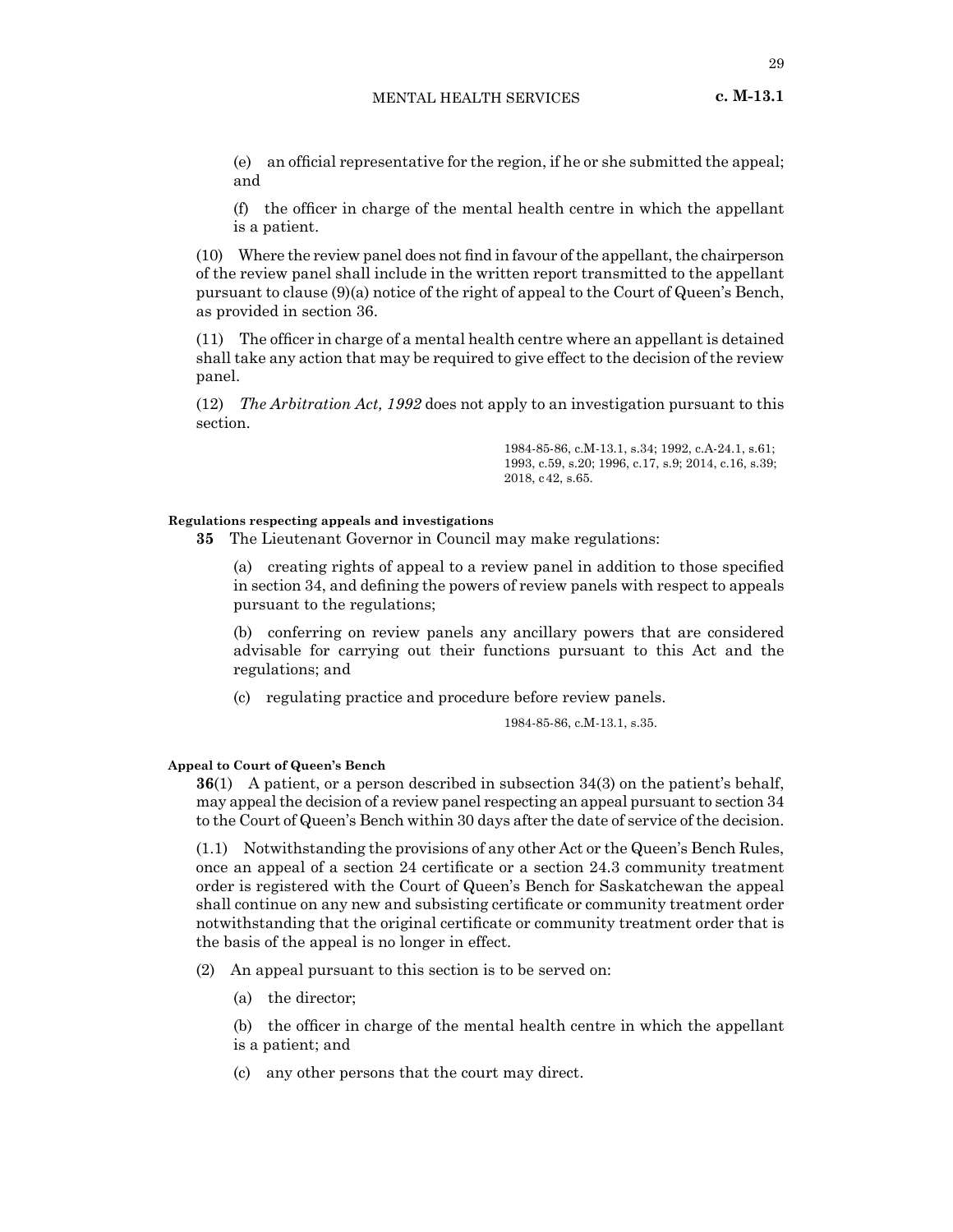- (e) an official representative for the region, if he or she submitted the appeal; and
- (f) the officer in charge of the mental health centre in which the appellant is a patient.

 $(10)$  Where the review panel does not find in favour of the appellant, the chairperson of the review panel shall include in the written report transmitted to the appellant pursuant to clause (9)(a) notice of the right of appeal to the Court of Queen's Bench, as provided in section 36.

(11) The officer in charge of a mental health centre where an appellant is detained shall take any action that may be required to give effect to the decision of the review panel.

(12) *The Arbitration Act, 1992* does not apply to an investigation pursuant to this section.

> 1984-85-86, c.M-13.1, s.34; 1992, c.A-24.1, s.61; 1993, c.59, s.20; 1996, c.17, s.9; 2014, c.16, s.39; 2018, c42, s.65.

#### **Regulations respecting appeals and investigations**

**35** The Lieutenant Governor in Council may make regulations:

(a) creating rights of appeal to a review panel in addition to those specified in section 34, and defining the powers of review panels with respect to appeals pursuant to the regulations;

(b) conferring on review panels any ancillary powers that are considered advisable for carrying out their functions pursuant to this Act and the regulations; and

(c) regulating practice and procedure before review panels.

1984-85-86, c.M-13.1, s.35.

## **Appeal to Court of Queen's Bench**

**36**(1) A patient, or a person described in subsection 34(3) on the patient's behalf, may appeal the decision of a review panel respecting an appeal pursuant to section 34 to the Court of Queen's Bench within 30 days after the date of service of the decision.

(1.1) Notwithstanding the provisions of any other Act or the Queen's Bench Rules, once an appeal of a section 24 certificate or a section 24.3 community treatment order is registered with the Court of Queen's Bench for Saskatchewan the appeal shall continue on any new and subsisting certificate or community treatment order notwithstanding that the original certificate or community treatment order that is the basis of the appeal is no longer in effect.

(2) An appeal pursuant to this section is to be served on:

- (a) the director;
- (b) the officer in charge of the mental health centre in which the appellant is a patient; and
- (c) any other persons that the court may direct.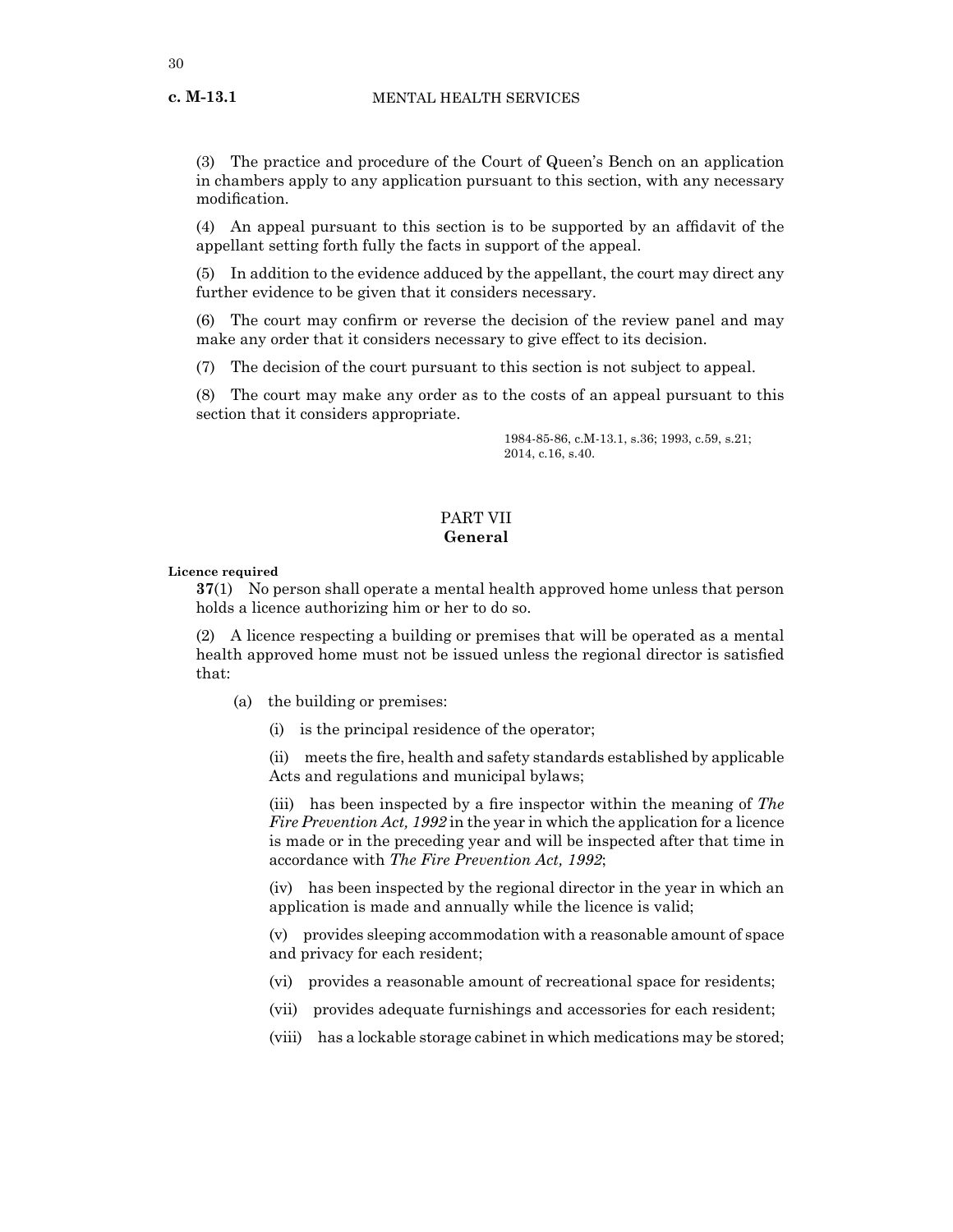(3) The practice and procedure of the Court of Queen's Bench on an application in chambers apply to any application pursuant to this section, with any necessary modification.

(4) An appeal pursuant to this section is to be supported by an affidavit of the appellant setting forth fully the facts in support of the appeal.

(5) In addition to the evidence adduced by the appellant, the court may direct any further evidence to be given that it considers necessary.

(6) The court may confirm or reverse the decision of the review panel and may make any order that it considers necessary to give effect to its decision.

(7) The decision of the court pursuant to this section is not subject to appeal.

(8) The court may make any order as to the costs of an appeal pursuant to this section that it considers appropriate.

> 1984-85-86, c.M-13.1, s.36; 1993, c.59, s.21; 2014, c.16, s.40.

# PART VII **General**

# **Licence required**

**37**(1) No person shall operate a mental health approved home unless that person holds a licence authorizing him or her to do so.

(2) A licence respecting a building or premises that will be operated as a mental health approved home must not be issued unless the regional director is satisfied that:

- (a) the building or premises:
	- (i) is the principal residence of the operator;

(ii) meets the fire, health and safety standards established by applicable Acts and regulations and municipal bylaws;

(iii) has been inspected by a fire inspector within the meaning of *The Fire Prevention Act, 1992* in the year in which the application for a licence is made or in the preceding year and will be inspected after that time in accordance with *The Fire Prevention Act, 1992*;

(iv) has been inspected by the regional director in the year in which an application is made and annually while the licence is valid;

(v) provides sleeping accommodation with a reasonable amount of space and privacy for each resident;

- (vi) provides a reasonable amount of recreational space for residents;
- (vii) provides adequate furnishings and accessories for each resident;
- (viii) has a lockable storage cabinet in which medications may be stored;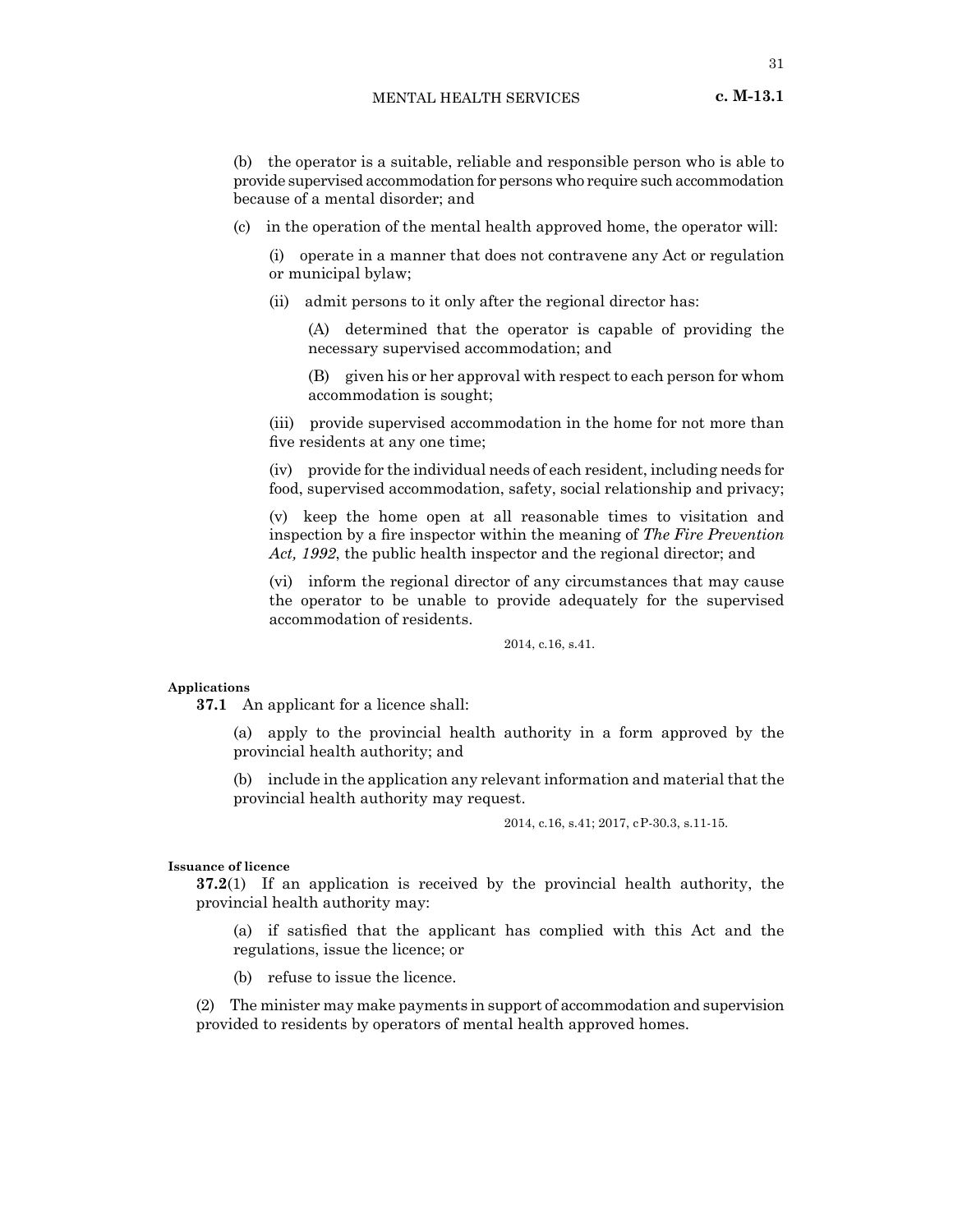# MENTAL HEALTH SERVICES **c. M-13.1**

(b) the operator is a suitable, reliable and responsible person who is able to provide supervised accommodation for persons who require such accommodation because of a mental disorder; and

(c) in the operation of the mental health approved home, the operator will:

(i) operate in a manner that does not contravene any Act or regulation or municipal bylaw;

(ii) admit persons to it only after the regional director has:

(A) determined that the operator is capable of providing the necessary supervised accommodation; and

(B) given his or her approval with respect to each person for whom accommodation is sought;

(iii) provide supervised accommodation in the home for not more than five residents at any one time;

(iv) provide for the individual needs of each resident, including needs for food, supervised accommodation, safety, social relationship and privacy;

(v) keep the home open at all reasonable times to visitation and inspection by a fire inspector within the meaning of *The Fire Prevention Act, 1992*, the public health inspector and the regional director; and

(vi) inform the regional director of any circumstances that may cause the operator to be unable to provide adequately for the supervised accommodation of residents.

2014, c.16, s.41.

#### **Applications**

**37.1** An applicant for a licence shall:

(a) apply to the provincial health authority in a form approved by the provincial health authority; and

(b) include in the application any relevant information and material that the provincial health authority may request.

2014, c.16, s.41; 2017, cP-30.3, s.11-15.

#### **Issuance of licence**

**37.2**(1) If an application is received by the provincial health authority, the provincial health authority may:

(a) if satisfied that the applicant has complied with this Act and the regulations, issue the licence; or

(b) refuse to issue the licence.

(2) The minister may make payments in support of accommodation and supervision provided to residents by operators of mental health approved homes.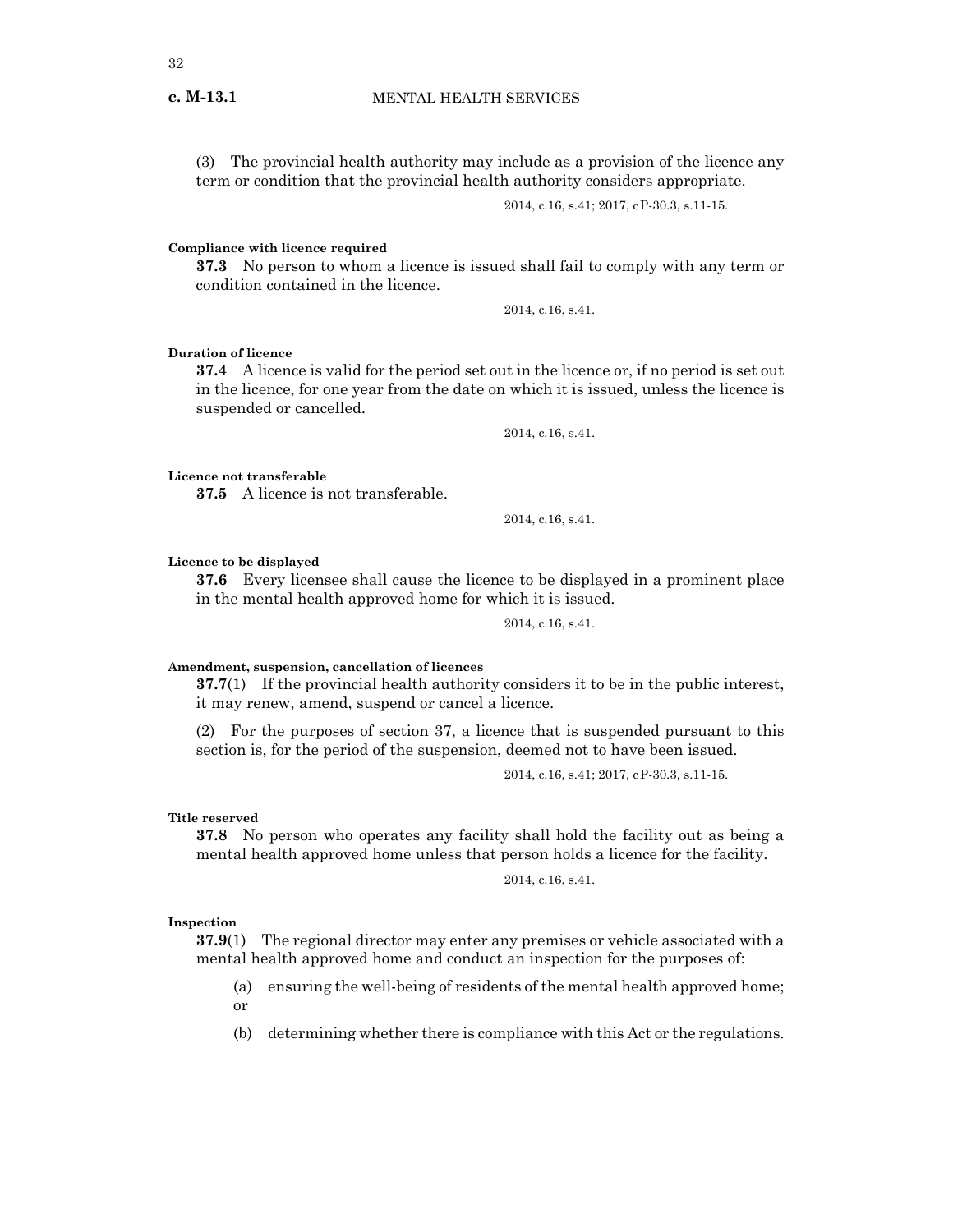(3) The provincial health authority may include as a provision of the licence any term or condition that the provincial health authority considers appropriate.

2014, c.16, s.41; 2017, cP-30.3, s.11-15.

**Compliance with licence required**

**37.3** No person to whom a licence is issued shall fail to comply with any term or condition contained in the licence.

2014, c.16, s.41.

#### **Duration of licence**

**37.4** A licence is valid for the period set out in the licence or, if no period is set out in the licence, for one year from the date on which it is issued, unless the licence is suspended or cancelled.

2014, c.16, s.41.

#### **Licence not transferable**

**37.5** A licence is not transferable.

2014, c.16, s.41.

# **Licence to be displayed**

**37.6** Every licensee shall cause the licence to be displayed in a prominent place in the mental health approved home for which it is issued.

2014, c.16, s.41.

# **Amendment, suspension, cancellation of licences**

**37.7**(1) If the provincial health authority considers it to be in the public interest, it may renew, amend, suspend or cancel a licence.

(2) For the purposes of section 37, a licence that is suspended pursuant to this section is, for the period of the suspension, deemed not to have been issued.

2014, c.16, s.41; 2017, cP-30.3, s.11-15.

#### **Title reserved**

**37.8** No person who operates any facility shall hold the facility out as being a mental health approved home unless that person holds a licence for the facility.

2014, c.16, s.41.

#### **Inspection**

**37.9**(1) The regional director may enter any premises or vehicle associated with a mental health approved home and conduct an inspection for the purposes of:

(a) ensuring the well-being of residents of the mental health approved home; or

(b) determining whether there is compliance with this Act or the regulations.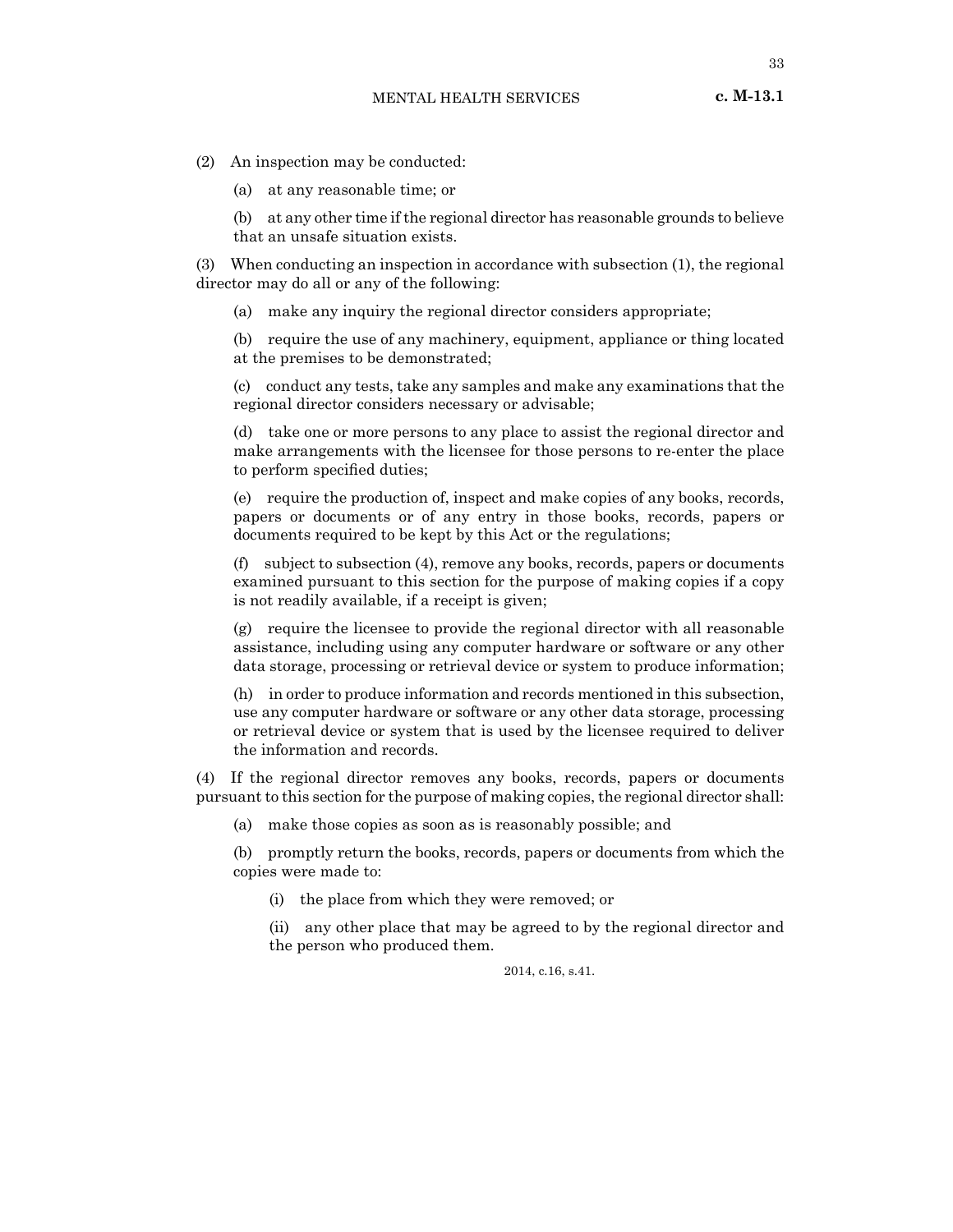33

- (2) An inspection may be conducted:
	- (a) at any reasonable time; or

(b) at any other time if the regional director has reasonable grounds to believe that an unsafe situation exists.

(3) When conducting an inspection in accordance with subsection (1), the regional director may do all or any of the following:

(a) make any inquiry the regional director considers appropriate;

(b) require the use of any machinery, equipment, appliance or thing located at the premises to be demonstrated;

(c) conduct any tests, take any samples and make any examinations that the regional director considers necessary or advisable;

(d) take one or more persons to any place to assist the regional director and make arrangements with the licensee for those persons to re-enter the place to perform specified duties;

(e) require the production of, inspect and make copies of any books, records, papers or documents or of any entry in those books, records, papers or documents required to be kept by this Act or the regulations;

(f) subject to subsection (4), remove any books, records, papers or documents examined pursuant to this section for the purpose of making copies if a copy is not readily available, if a receipt is given;

(g) require the licensee to provide the regional director with all reasonable assistance, including using any computer hardware or software or any other data storage, processing or retrieval device or system to produce information;

(h) in order to produce information and records mentioned in this subsection, use any computer hardware or software or any other data storage, processing or retrieval device or system that is used by the licensee required to deliver the information and records.

(4) If the regional director removes any books, records, papers or documents pursuant to this section for the purpose of making copies, the regional director shall:

(a) make those copies as soon as is reasonably possible; and

(b) promptly return the books, records, papers or documents from which the copies were made to:

(i) the place from which they were removed; or

(ii) any other place that may be agreed to by the regional director and the person who produced them.

2014, c.16, s.41.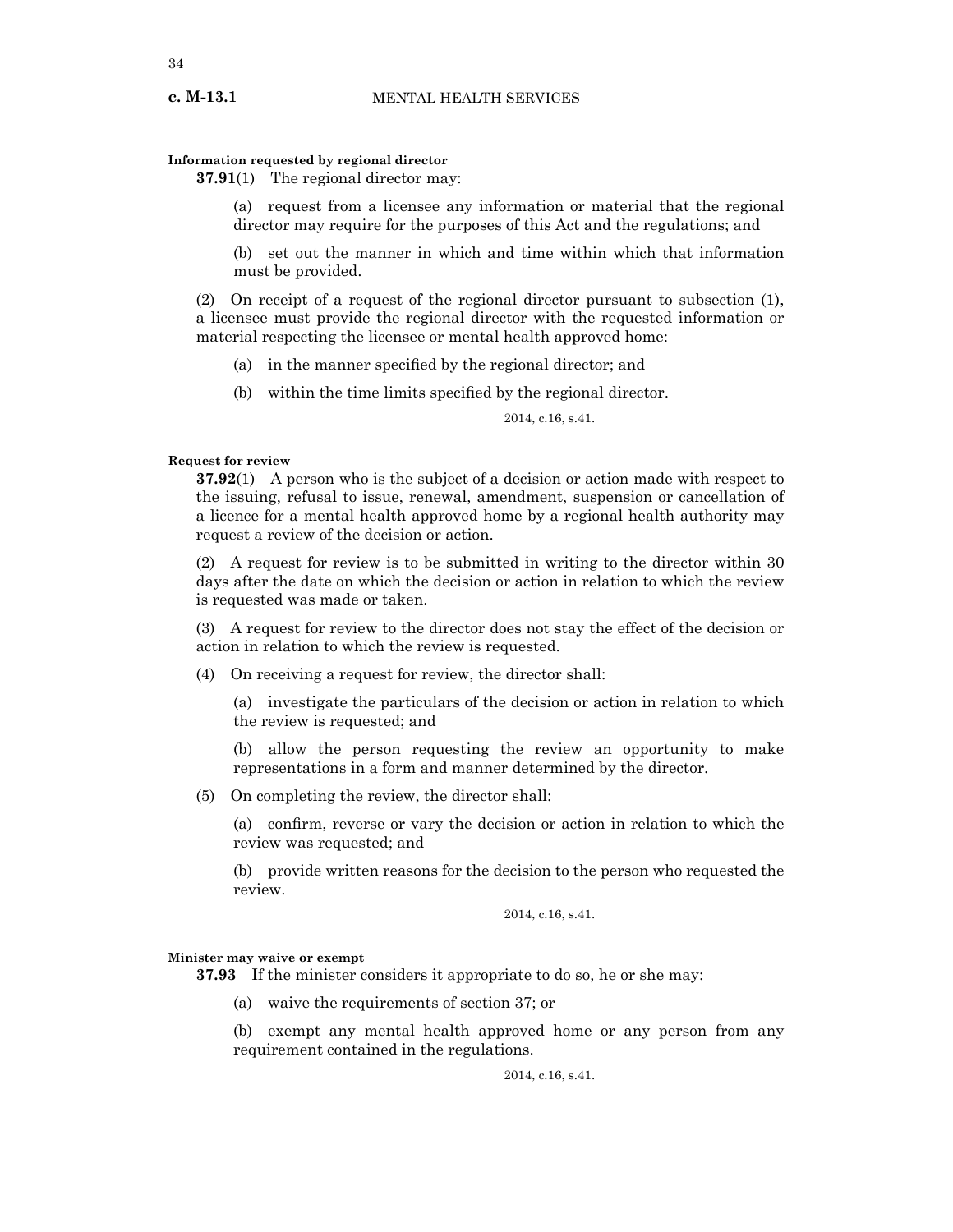## **Information requested by regional director**

**37.91**(1) The regional director may:

(a) request from a licensee any information or material that the regional director may require for the purposes of this Act and the regulations; and

(b) set out the manner in which and time within which that information must be provided.

(2) On receipt of a request of the regional director pursuant to subsection (1), a licensee must provide the regional director with the requested information or material respecting the licensee or mental health approved home:

- (a) in the manner specified by the regional director; and
- (b) within the time limits specified by the regional director.

2014, c.16, s.41.

# **Request for review**

**37.92**(1) A person who is the subject of a decision or action made with respect to the issuing, refusal to issue, renewal, amendment, suspension or cancellation of a licence for a mental health approved home by a regional health authority may request a review of the decision or action.

(2) A request for review is to be submitted in writing to the director within 30 days after the date on which the decision or action in relation to which the review is requested was made or taken.

(3) A request for review to the director does not stay the effect of the decision or action in relation to which the review is requested.

(4) On receiving a request for review, the director shall:

(a) investigate the particulars of the decision or action in relation to which the review is requested; and

(b) allow the person requesting the review an opportunity to make representations in a form and manner determined by the director.

(5) On completing the review, the director shall:

(a) confirm, reverse or vary the decision or action in relation to which the review was requested; and

(b) provide written reasons for the decision to the person who requested the review.

2014, c.16, s.41.

## **Minister may waive or exempt**

**37.93** If the minister considers it appropriate to do so, he or she may:

(a) waive the requirements of section 37; or

(b) exempt any mental health approved home or any person from any requirement contained in the regulations.

2014, c.16, s.41.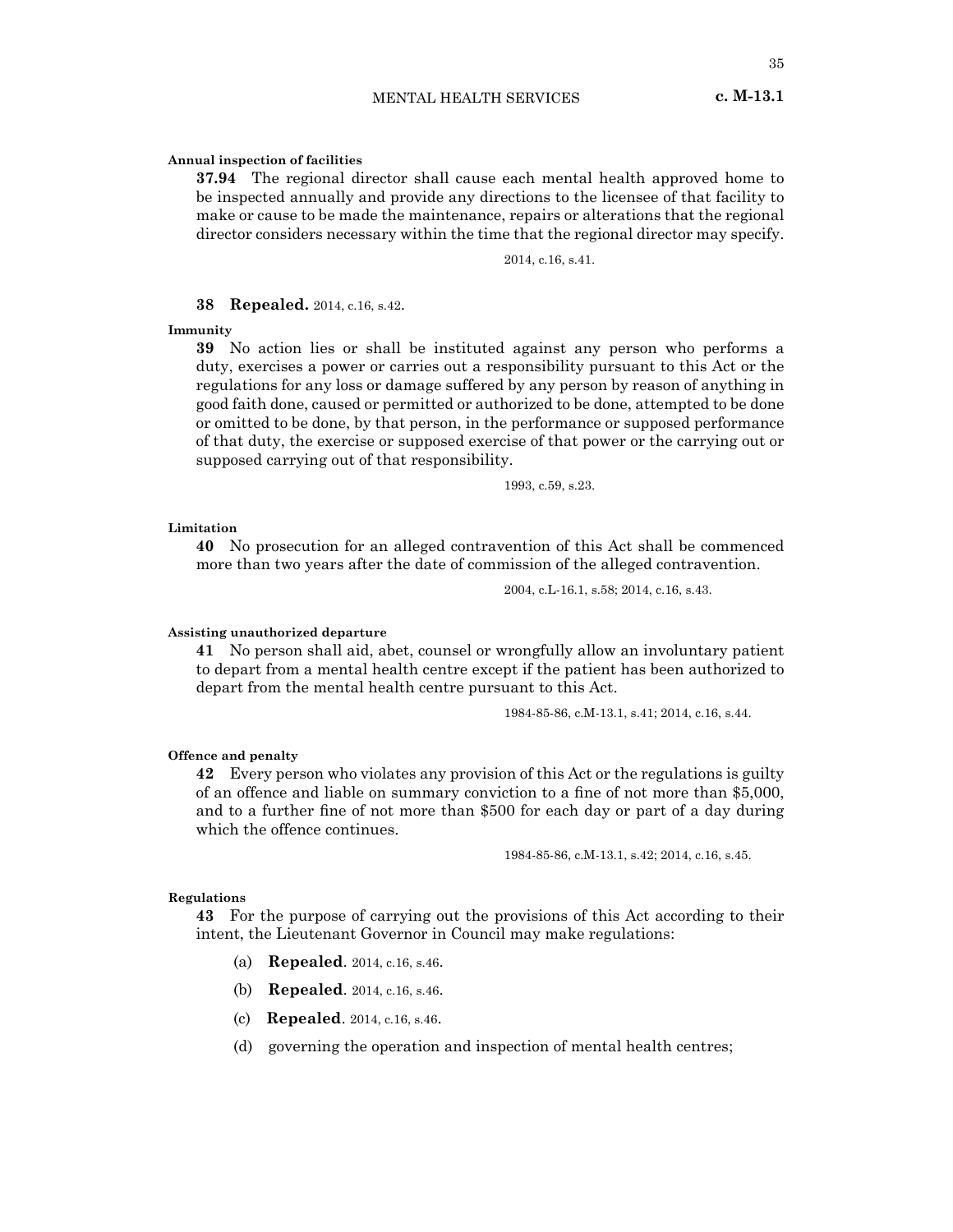# **Annual inspection of facilities**

**37.94** The regional director shall cause each mental health approved home to be inspected annually and provide any directions to the licensee of that facility to make or cause to be made the maintenance, repairs or alterations that the regional director considers necessary within the time that the regional director may specify.

2014, c.16, s.41.

# **38 Repealed.** 2014, c.16, s.42.

**Immunity**

**39** No action lies or shall be instituted against any person who performs a duty, exercises a power or carries out a responsibility pursuant to this Act or the regulations for any loss or damage suffered by any person by reason of anything in good faith done, caused or permitted or authorized to be done, attempted to be done or omitted to be done, by that person, in the performance or supposed performance of that duty, the exercise or supposed exercise of that power or the carrying out or supposed carrying out of that responsibility.

1993, c.59, s.23.

#### **Limitation**

**40** No prosecution for an alleged contravention of this Act shall be commenced more than two years after the date of commission of the alleged contravention.

2004, c.L-16.1, s.58; 2014, c.16, s.43.

# **Assisting unauthorized departure**

**41** No person shall aid, abet, counsel or wrongfully allow an involuntary patient to depart from a mental health centre except if the patient has been authorized to depart from the mental health centre pursuant to this Act.

1984-85-86, c.M-13.1, s.41; 2014, c.16, s.44.

#### **Offence and penalty**

**42** Every person who violates any provision of this Act or the regulations is guilty of an offence and liable on summary conviction to a fine of not more than \$5,000, and to a further fine of not more than \$500 for each day or part of a day during which the offence continues.

1984-85-86, c.M-13.1, s.42; 2014, c.16, s.45.

#### **Regulations**

**43** For the purpose of carrying out the provisions of this Act according to their intent, the Lieutenant Governor in Council may make regulations:

- (a) **Repealed**. 2014, c.16, s.46.
- (b) **Repealed**. 2014, c.16, s.46.
- (c) **Repealed**. 2014, c.16, s.46.
- (d) governing the operation and inspection of mental health centres;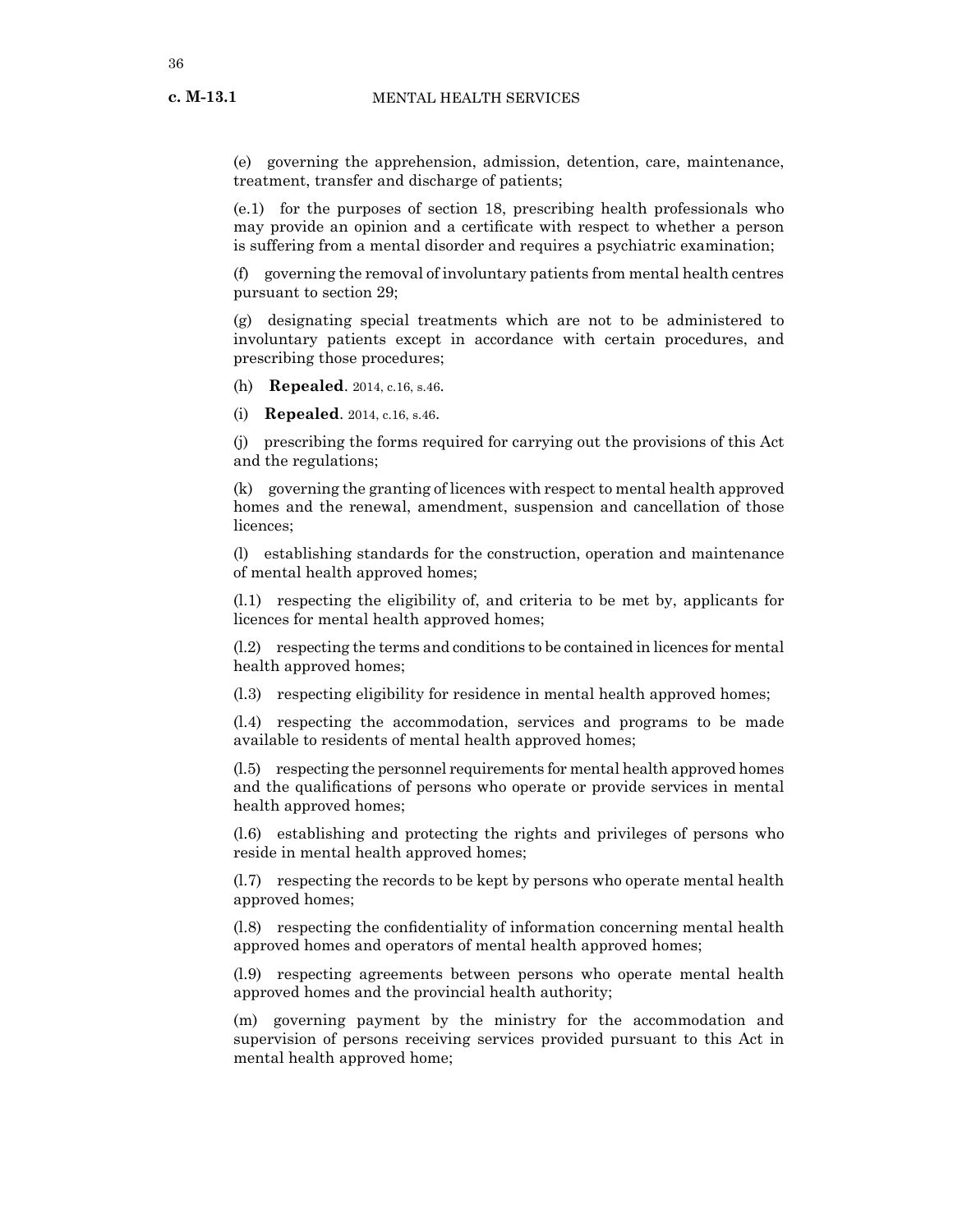**c. M-13.1**

(e) governing the apprehension, admission, detention, care, maintenance, treatment, transfer and discharge of patients;

(e.1) for the purposes of section 18, prescribing health professionals who may provide an opinion and a certificate with respect to whether a person is suffering from a mental disorder and requires a psychiatric examination;

(f) governing the removal of involuntary patients from mental health centres pursuant to section 29;

(g) designating special treatments which are not to be administered to involuntary patients except in accordance with certain procedures, and prescribing those procedures;

(h) **Repealed**. 2014, c.16, s.46.

(i) **Repealed**. 2014, c.16, s.46.

(j) prescribing the forms required for carrying out the provisions of this Act and the regulations;

(k) governing the granting of licences with respect to mental health approved homes and the renewal, amendment, suspension and cancellation of those licences;

(l) establishing standards for the construction, operation and maintenance of mental health approved homes;

(l.1) respecting the eligibility of, and criteria to be met by, applicants for licences for mental health approved homes;

(l.2) respecting the terms and conditions to be contained in licences for mental health approved homes;

(l.3) respecting eligibility for residence in mental health approved homes;

(l.4) respecting the accommodation, services and programs to be made available to residents of mental health approved homes;

(l.5) respecting the personnel requirements for mental health approved homes and the qualifications of persons who operate or provide services in mental health approved homes;

(l.6) establishing and protecting the rights and privileges of persons who reside in mental health approved homes;

(l.7) respecting the records to be kept by persons who operate mental health approved homes;

(l.8) respecting the confidentiality of information concerning mental health approved homes and operators of mental health approved homes;

(l.9) respecting agreements between persons who operate mental health approved homes and the provincial health authority;

(m) governing payment by the ministry for the accommodation and supervision of persons receiving services provided pursuant to this Act in mental health approved home;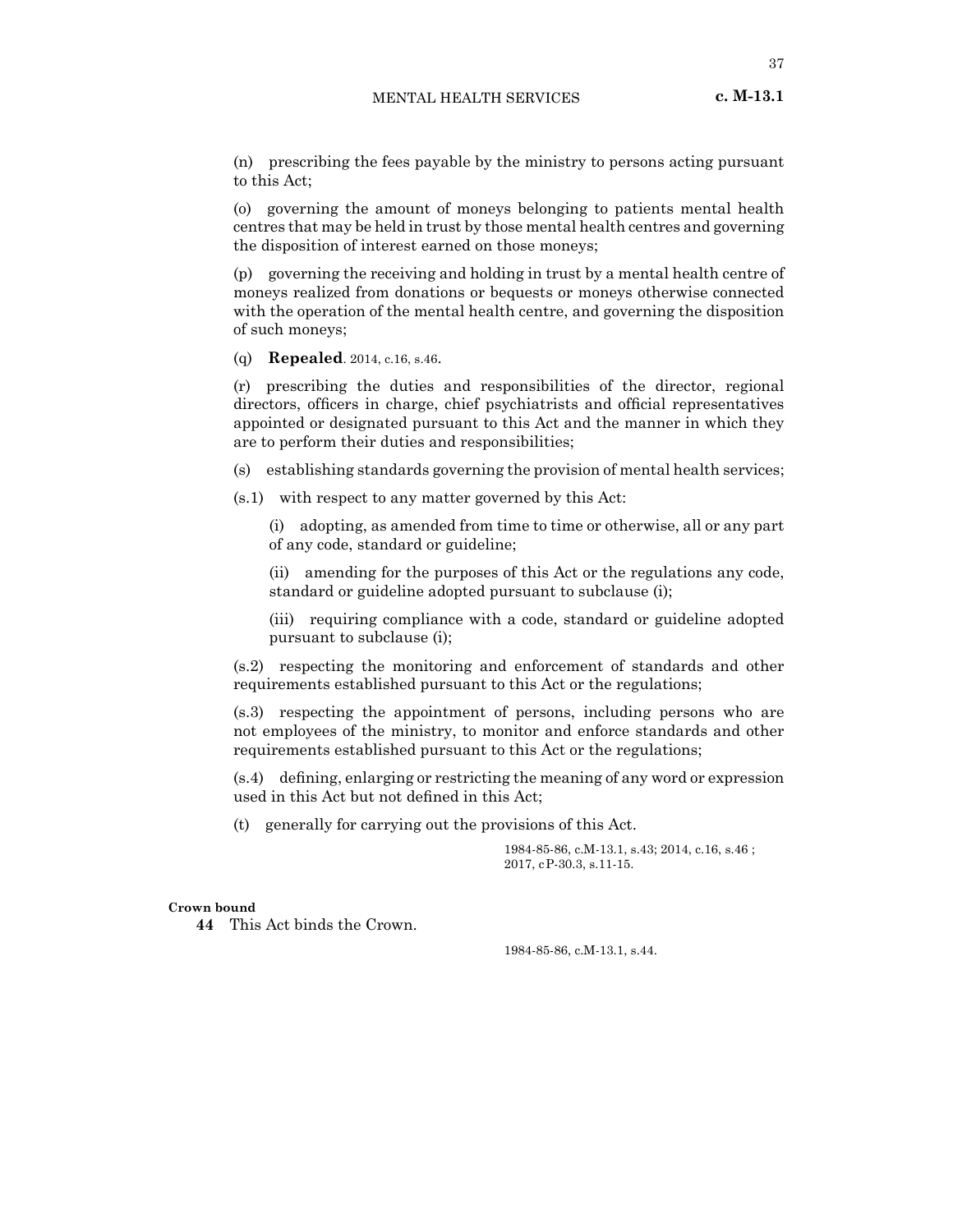(n) prescribing the fees payable by the ministry to persons acting pursuant to this Act;

(o) governing the amount of moneys belonging to patients mental health centres that may be held in trust by those mental health centres and governing the disposition of interest earned on those moneys;

(p) governing the receiving and holding in trust by a mental health centre of moneys realized from donations or bequests or moneys otherwise connected with the operation of the mental health centre, and governing the disposition of such moneys;

(q) **Repealed**. 2014, c.16, s.46.

(r) prescribing the duties and responsibilities of the director, regional directors, officers in charge, chief psychiatrists and official representatives appointed or designated pursuant to this Act and the manner in which they are to perform their duties and responsibilities;

(s) establishing standards governing the provision of mental health services;

(s.1) with respect to any matter governed by this Act:

(i) adopting, as amended from time to time or otherwise, all or any part of any code, standard or guideline;

(ii) amending for the purposes of this Act or the regulations any code, standard or guideline adopted pursuant to subclause (i);

(iii) requiring compliance with a code, standard or guideline adopted pursuant to subclause (i);

(s.2) respecting the monitoring and enforcement of standards and other requirements established pursuant to this Act or the regulations;

(s.3) respecting the appointment of persons, including persons who are not employees of the ministry, to monitor and enforce standards and other requirements established pursuant to this Act or the regulations;

(s.4) defining, enlarging or restricting the meaning of any word or expression used in this Act but not defined in this Act;

(t) generally for carrying out the provisions of this Act.

1984-85-86, c.M-13.1, s.43; 2014, c.16, s.46 ; 2017, cP-30.3, s.11-15.

#### **Crown bound**

**44** This Act binds the Crown.

1984-85-86, c.M-13.1, s.44.